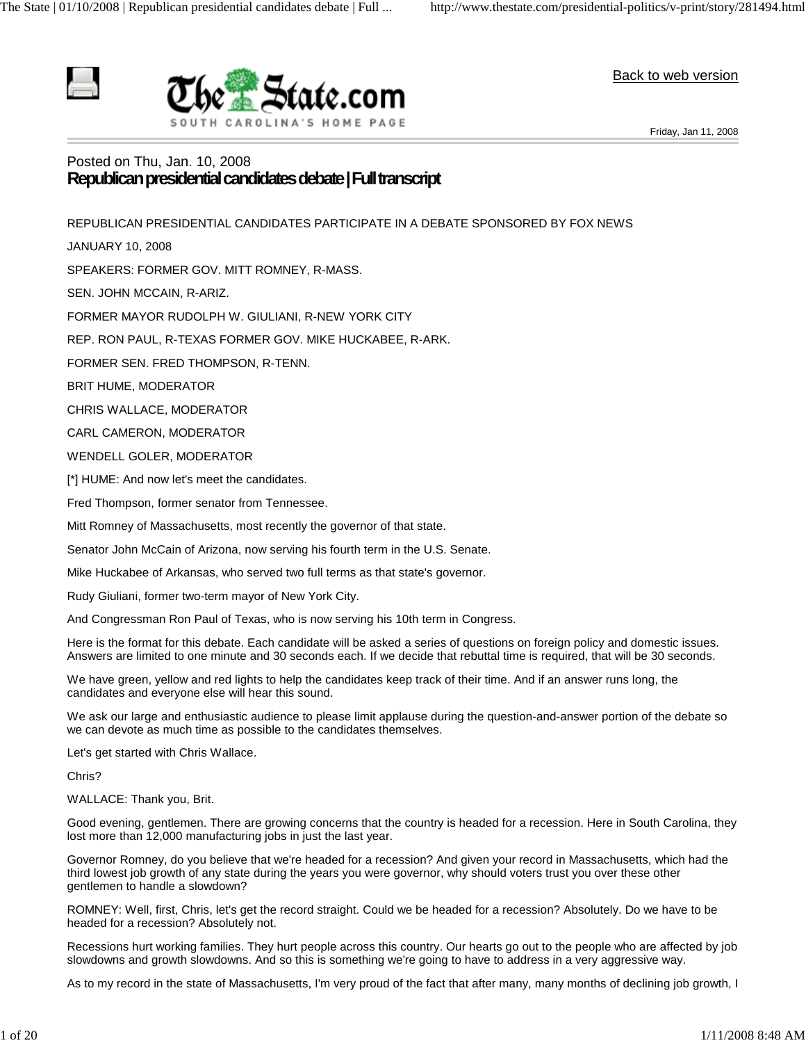



Back to web version

Friday, Jan 11, 2008

# Posted on Thu, Jan. 10, 2008 **Republican presidential candidates debate | Full transcript**

REPUBLICAN PRESIDENTIAL CANDIDATES PARTICIPATE IN A DEBATE SPONSORED BY FOX NEWS

JANUARY 10, 2008

SPEAKERS: FORMER GOV. MITT ROMNEY, R-MASS.

SEN. JOHN MCCAIN, R-ARIZ.

FORMER MAYOR RUDOLPH W. GIULIANI, R-NEW YORK CITY

REP. RON PAUL, R-TEXAS FORMER GOV. MIKE HUCKABEE, R-ARK.

FORMER SEN. FRED THOMPSON, R-TENN.

BRIT HUME, MODERATOR

CHRIS WALLACE, MODERATOR

CARL CAMERON, MODERATOR

WENDELL GOLER, MODERATOR

[\*] HUME: And now let's meet the candidates.

Fred Thompson, former senator from Tennessee.

Mitt Romney of Massachusetts, most recently the governor of that state.

Senator John McCain of Arizona, now serving his fourth term in the U.S. Senate.

Mike Huckabee of Arkansas, who served two full terms as that state's governor.

Rudy Giuliani, former two-term mayor of New York City.

And Congressman Ron Paul of Texas, who is now serving his 10th term in Congress.

Here is the format for this debate. Each candidate will be asked a series of questions on foreign policy and domestic issues. Answers are limited to one minute and 30 seconds each. If we decide that rebuttal time is required, that will be 30 seconds.

We have green, yellow and red lights to help the candidates keep track of their time. And if an answer runs long, the candidates and everyone else will hear this sound.

We ask our large and enthusiastic audience to please limit applause during the question-and-answer portion of the debate so we can devote as much time as possible to the candidates themselves.

Let's get started with Chris Wallace.

Chris?

WALLACE: Thank you, Brit.

Good evening, gentlemen. There are growing concerns that the country is headed for a recession. Here in South Carolina, they lost more than 12,000 manufacturing jobs in just the last year.

Governor Romney, do you believe that we're headed for a recession? And given your record in Massachusetts, which had the third lowest job growth of any state during the years you were governor, why should voters trust you over these other gentlemen to handle a slowdown?

ROMNEY: Well, first, Chris, let's get the record straight. Could we be headed for a recession? Absolutely. Do we have to be headed for a recession? Absolutely not.

Recessions hurt working families. They hurt people across this country. Our hearts go out to the people who are affected by job slowdowns and growth slowdowns. And so this is something we're going to have to address in a very aggressive way.

As to my record in the state of Massachusetts, I'm very proud of the fact that after many, many months of declining job growth, I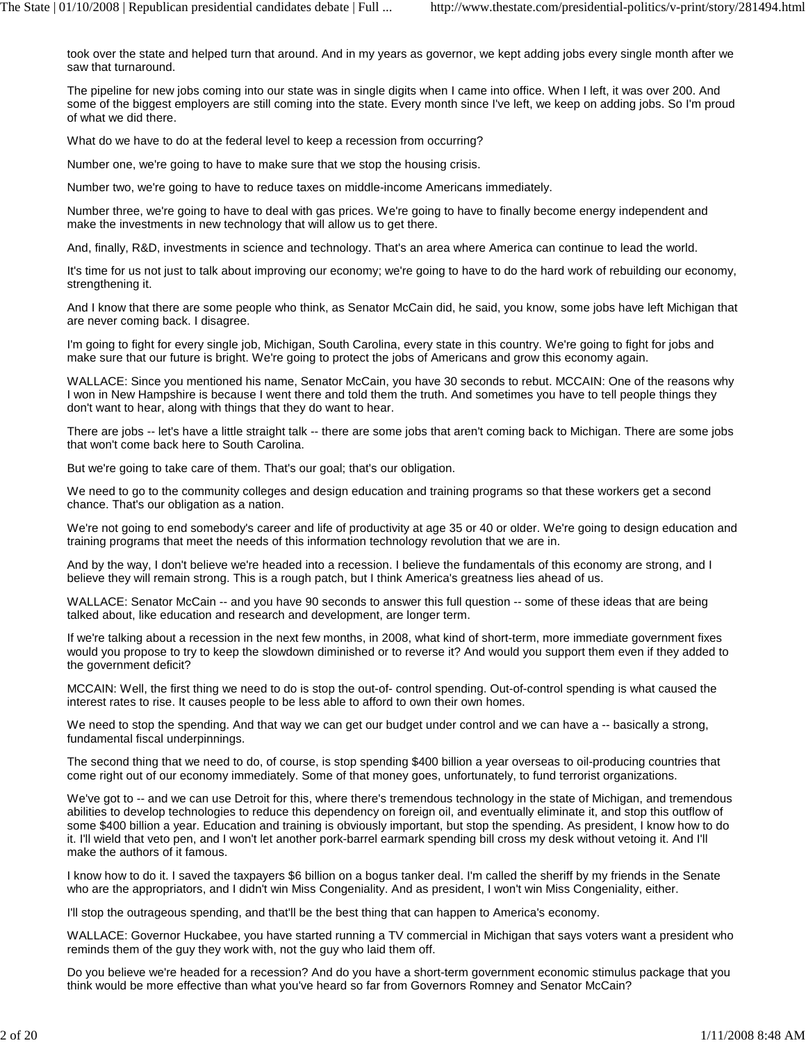took over the state and helped turn that around. And in my years as governor, we kept adding jobs every single month after we saw that turnaround.

The pipeline for new jobs coming into our state was in single digits when I came into office. When I left, it was over 200. And some of the biggest employers are still coming into the state. Every month since I've left, we keep on adding jobs. So I'm proud of what we did there.

What do we have to do at the federal level to keep a recession from occurring?

Number one, we're going to have to make sure that we stop the housing crisis.

Number two, we're going to have to reduce taxes on middle-income Americans immediately.

Number three, we're going to have to deal with gas prices. We're going to have to finally become energy independent and make the investments in new technology that will allow us to get there.

And, finally, R&D, investments in science and technology. That's an area where America can continue to lead the world.

It's time for us not just to talk about improving our economy; we're going to have to do the hard work of rebuilding our economy, strengthening it.

And I know that there are some people who think, as Senator McCain did, he said, you know, some jobs have left Michigan that are never coming back. I disagree.

I'm going to fight for every single job, Michigan, South Carolina, every state in this country. We're going to fight for jobs and make sure that our future is bright. We're going to protect the jobs of Americans and grow this economy again.

WALLACE: Since you mentioned his name, Senator McCain, you have 30 seconds to rebut. MCCAIN: One of the reasons why I won in New Hampshire is because I went there and told them the truth. And sometimes you have to tell people things they don't want to hear, along with things that they do want to hear.

There are jobs -- let's have a little straight talk -- there are some jobs that aren't coming back to Michigan. There are some jobs that won't come back here to South Carolina.

But we're going to take care of them. That's our goal; that's our obligation.

We need to go to the community colleges and design education and training programs so that these workers get a second chance. That's our obligation as a nation.

We're not going to end somebody's career and life of productivity at age 35 or 40 or older. We're going to design education and training programs that meet the needs of this information technology revolution that we are in.

And by the way, I don't believe we're headed into a recession. I believe the fundamentals of this economy are strong, and I believe they will remain strong. This is a rough patch, but I think America's greatness lies ahead of us.

WALLACE: Senator McCain -- and you have 90 seconds to answer this full question -- some of these ideas that are being talked about, like education and research and development, are longer term.

If we're talking about a recession in the next few months, in 2008, what kind of short-term, more immediate government fixes would you propose to try to keep the slowdown diminished or to reverse it? And would you support them even if they added to the government deficit?

MCCAIN: Well, the first thing we need to do is stop the out-of- control spending. Out-of-control spending is what caused the interest rates to rise. It causes people to be less able to afford to own their own homes.

We need to stop the spending. And that way we can get our budget under control and we can have a -- basically a strong, fundamental fiscal underpinnings.

The second thing that we need to do, of course, is stop spending \$400 billion a year overseas to oil-producing countries that come right out of our economy immediately. Some of that money goes, unfortunately, to fund terrorist organizations.

We've got to -- and we can use Detroit for this, where there's tremendous technology in the state of Michigan, and tremendous abilities to develop technologies to reduce this dependency on foreign oil, and eventually eliminate it, and stop this outflow of some \$400 billion a year. Education and training is obviously important, but stop the spending. As president, I know how to do it. I'll wield that veto pen, and I won't let another pork-barrel earmark spending bill cross my desk without vetoing it. And I'll make the authors of it famous.

I know how to do it. I saved the taxpayers \$6 billion on a bogus tanker deal. I'm called the sheriff by my friends in the Senate who are the appropriators, and I didn't win Miss Congeniality. And as president, I won't win Miss Congeniality, either.

I'll stop the outrageous spending, and that'll be the best thing that can happen to America's economy.

WALLACE: Governor Huckabee, you have started running a TV commercial in Michigan that says voters want a president who reminds them of the guy they work with, not the guy who laid them off.

Do you believe we're headed for a recession? And do you have a short-term government economic stimulus package that you think would be more effective than what you've heard so far from Governors Romney and Senator McCain?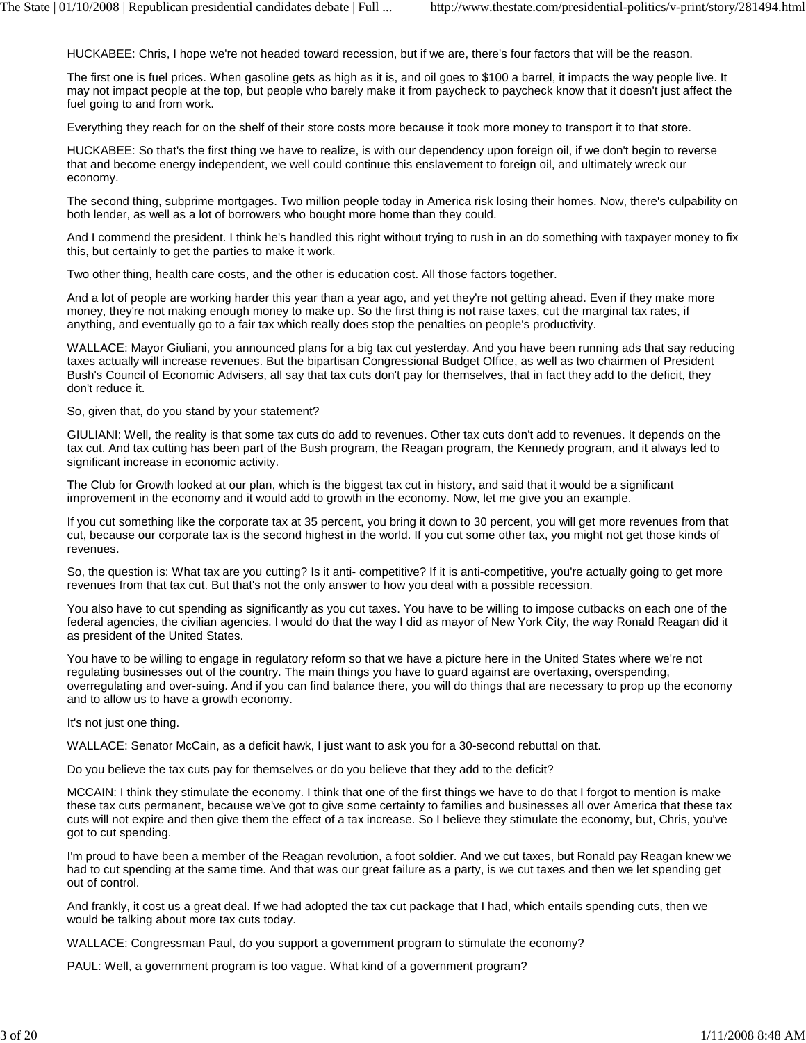HUCKABEE: Chris, I hope we're not headed toward recession, but if we are, there's four factors that will be the reason.

The first one is fuel prices. When gasoline gets as high as it is, and oil goes to \$100 a barrel, it impacts the way people live. It may not impact people at the top, but people who barely make it from paycheck to paycheck know that it doesn't just affect the fuel going to and from work.

Everything they reach for on the shelf of their store costs more because it took more money to transport it to that store.

HUCKABEE: So that's the first thing we have to realize, is with our dependency upon foreign oil, if we don't begin to reverse that and become energy independent, we well could continue this enslavement to foreign oil, and ultimately wreck our economy.

The second thing, subprime mortgages. Two million people today in America risk losing their homes. Now, there's culpability on both lender, as well as a lot of borrowers who bought more home than they could.

And I commend the president. I think he's handled this right without trying to rush in an do something with taxpayer money to fix this, but certainly to get the parties to make it work.

Two other thing, health care costs, and the other is education cost. All those factors together.

And a lot of people are working harder this year than a year ago, and yet they're not getting ahead. Even if they make more money, they're not making enough money to make up. So the first thing is not raise taxes, cut the marginal tax rates, if anything, and eventually go to a fair tax which really does stop the penalties on people's productivity.

WALLACE: Mayor Giuliani, you announced plans for a big tax cut yesterday. And you have been running ads that say reducing taxes actually will increase revenues. But the bipartisan Congressional Budget Office, as well as two chairmen of President Bush's Council of Economic Advisers, all say that tax cuts don't pay for themselves, that in fact they add to the deficit, they don't reduce it.

So, given that, do you stand by your statement?

GIULIANI: Well, the reality is that some tax cuts do add to revenues. Other tax cuts don't add to revenues. It depends on the tax cut. And tax cutting has been part of the Bush program, the Reagan program, the Kennedy program, and it always led to significant increase in economic activity.

The Club for Growth looked at our plan, which is the biggest tax cut in history, and said that it would be a significant improvement in the economy and it would add to growth in the economy. Now, let me give you an example.

If you cut something like the corporate tax at 35 percent, you bring it down to 30 percent, you will get more revenues from that cut, because our corporate tax is the second highest in the world. If you cut some other tax, you might not get those kinds of revenues.

So, the question is: What tax are you cutting? Is it anti- competitive? If it is anti-competitive, you're actually going to get more revenues from that tax cut. But that's not the only answer to how you deal with a possible recession.

You also have to cut spending as significantly as you cut taxes. You have to be willing to impose cutbacks on each one of the federal agencies, the civilian agencies. I would do that the way I did as mayor of New York City, the way Ronald Reagan did it as president of the United States.

You have to be willing to engage in regulatory reform so that we have a picture here in the United States where we're not regulating businesses out of the country. The main things you have to guard against are overtaxing, overspending, overregulating and over-suing. And if you can find balance there, you will do things that are necessary to prop up the economy and to allow us to have a growth economy.

It's not just one thing.

WALLACE: Senator McCain, as a deficit hawk, I just want to ask you for a 30-second rebuttal on that.

Do you believe the tax cuts pay for themselves or do you believe that they add to the deficit?

MCCAIN: I think they stimulate the economy. I think that one of the first things we have to do that I forgot to mention is make these tax cuts permanent, because we've got to give some certainty to families and businesses all over America that these tax cuts will not expire and then give them the effect of a tax increase. So I believe they stimulate the economy, but, Chris, you've got to cut spending.

I'm proud to have been a member of the Reagan revolution, a foot soldier. And we cut taxes, but Ronald pay Reagan knew we had to cut spending at the same time. And that was our great failure as a party, is we cut taxes and then we let spending get out of control.

And frankly, it cost us a great deal. If we had adopted the tax cut package that I had, which entails spending cuts, then we would be talking about more tax cuts today.

WALLACE: Congressman Paul, do you support a government program to stimulate the economy?

PAUL: Well, a government program is too vague. What kind of a government program?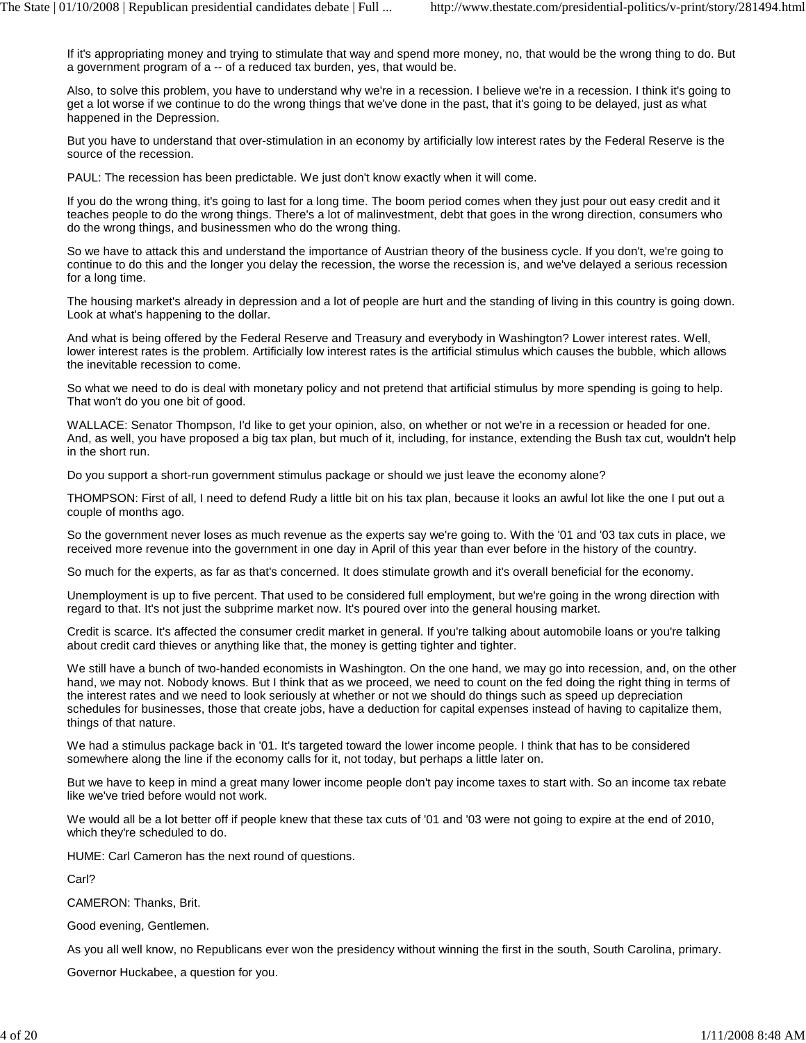If it's appropriating money and trying to stimulate that way and spend more money, no, that would be the wrong thing to do. But a government program of a -- of a reduced tax burden, yes, that would be.

Also, to solve this problem, you have to understand why we're in a recession. I believe we're in a recession. I think it's going to get a lot worse if we continue to do the wrong things that we've done in the past, that it's going to be delayed, just as what happened in the Depression.

But you have to understand that over-stimulation in an economy by artificially low interest rates by the Federal Reserve is the source of the recession.

PAUL: The recession has been predictable. We just don't know exactly when it will come.

If you do the wrong thing, it's going to last for a long time. The boom period comes when they just pour out easy credit and it teaches people to do the wrong things. There's a lot of malinvestment, debt that goes in the wrong direction, consumers who do the wrong things, and businessmen who do the wrong thing.

So we have to attack this and understand the importance of Austrian theory of the business cycle. If you don't, we're going to continue to do this and the longer you delay the recession, the worse the recession is, and we've delayed a serious recession for a long time.

The housing market's already in depression and a lot of people are hurt and the standing of living in this country is going down. Look at what's happening to the dollar.

And what is being offered by the Federal Reserve and Treasury and everybody in Washington? Lower interest rates. Well, lower interest rates is the problem. Artificially low interest rates is the artificial stimulus which causes the bubble, which allows the inevitable recession to come.

So what we need to do is deal with monetary policy and not pretend that artificial stimulus by more spending is going to help. That won't do you one bit of good.

WALLACE: Senator Thompson, I'd like to get your opinion, also, on whether or not we're in a recession or headed for one. And, as well, you have proposed a big tax plan, but much of it, including, for instance, extending the Bush tax cut, wouldn't help in the short run.

Do you support a short-run government stimulus package or should we just leave the economy alone?

THOMPSON: First of all, I need to defend Rudy a little bit on his tax plan, because it looks an awful lot like the one I put out a couple of months ago.

So the government never loses as much revenue as the experts say we're going to. With the '01 and '03 tax cuts in place, we received more revenue into the government in one day in April of this year than ever before in the history of the country.

So much for the experts, as far as that's concerned. It does stimulate growth and it's overall beneficial for the economy.

Unemployment is up to five percent. That used to be considered full employment, but we're going in the wrong direction with regard to that. It's not just the subprime market now. It's poured over into the general housing market.

Credit is scarce. It's affected the consumer credit market in general. If you're talking about automobile loans or you're talking about credit card thieves or anything like that, the money is getting tighter and tighter.

We still have a bunch of two-handed economists in Washington. On the one hand, we may go into recession, and, on the other hand, we may not. Nobody knows. But I think that as we proceed, we need to count on the fed doing the right thing in terms of the interest rates and we need to look seriously at whether or not we should do things such as speed up depreciation schedules for businesses, those that create jobs, have a deduction for capital expenses instead of having to capitalize them, things of that nature.

We had a stimulus package back in '01. It's targeted toward the lower income people. I think that has to be considered somewhere along the line if the economy calls for it, not today, but perhaps a little later on.

But we have to keep in mind a great many lower income people don't pay income taxes to start with. So an income tax rebate like we've tried before would not work.

We would all be a lot better off if people knew that these tax cuts of '01 and '03 were not going to expire at the end of 2010, which they're scheduled to do.

HUME: Carl Cameron has the next round of questions.

Carl?

CAMERON: Thanks, Brit.

Good evening, Gentlemen.

As you all well know, no Republicans ever won the presidency without winning the first in the south, South Carolina, primary.

Governor Huckabee, a question for you.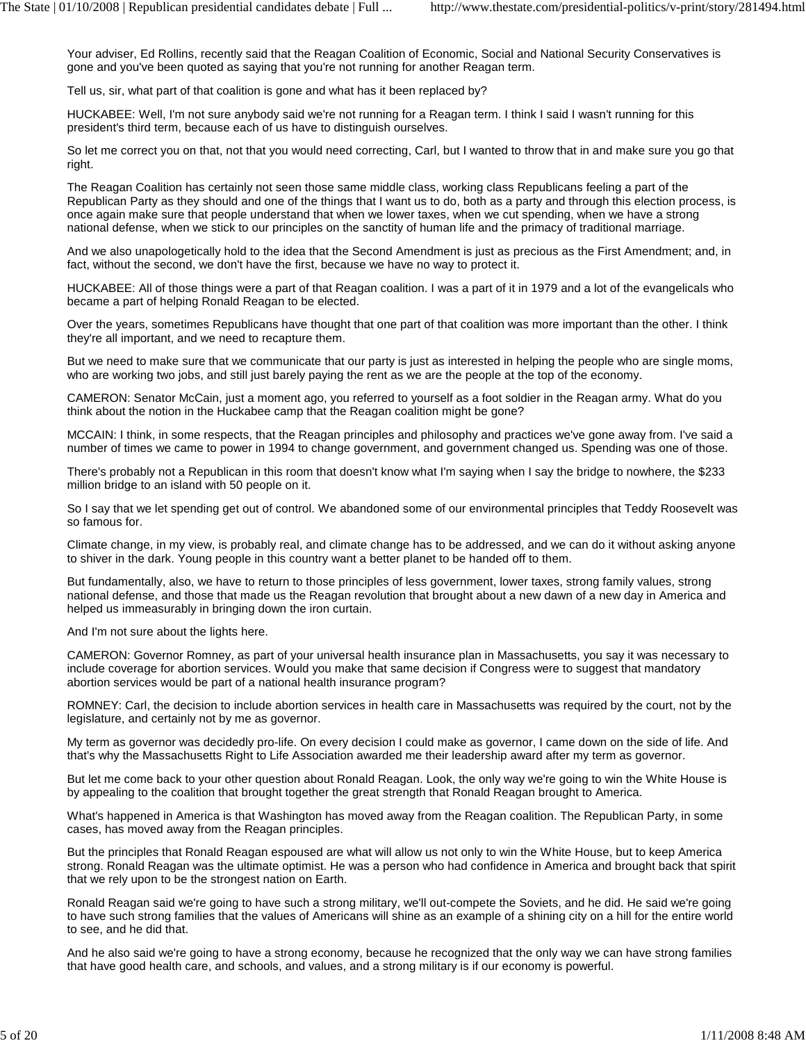Your adviser, Ed Rollins, recently said that the Reagan Coalition of Economic, Social and National Security Conservatives is gone and you've been quoted as saying that you're not running for another Reagan term.

Tell us, sir, what part of that coalition is gone and what has it been replaced by?

HUCKABEE: Well, I'm not sure anybody said we're not running for a Reagan term. I think I said I wasn't running for this president's third term, because each of us have to distinguish ourselves.

So let me correct you on that, not that you would need correcting, Carl, but I wanted to throw that in and make sure you go that right.

The Reagan Coalition has certainly not seen those same middle class, working class Republicans feeling a part of the Republican Party as they should and one of the things that I want us to do, both as a party and through this election process, is once again make sure that people understand that when we lower taxes, when we cut spending, when we have a strong national defense, when we stick to our principles on the sanctity of human life and the primacy of traditional marriage.

And we also unapologetically hold to the idea that the Second Amendment is just as precious as the First Amendment; and, in fact, without the second, we don't have the first, because we have no way to protect it.

HUCKABEE: All of those things were a part of that Reagan coalition. I was a part of it in 1979 and a lot of the evangelicals who became a part of helping Ronald Reagan to be elected.

Over the years, sometimes Republicans have thought that one part of that coalition was more important than the other. I think they're all important, and we need to recapture them.

But we need to make sure that we communicate that our party is just as interested in helping the people who are single moms, who are working two jobs, and still just barely paying the rent as we are the people at the top of the economy.

CAMERON: Senator McCain, just a moment ago, you referred to yourself as a foot soldier in the Reagan army. What do you think about the notion in the Huckabee camp that the Reagan coalition might be gone?

MCCAIN: I think, in some respects, that the Reagan principles and philosophy and practices we've gone away from. I've said a number of times we came to power in 1994 to change government, and government changed us. Spending was one of those.

There's probably not a Republican in this room that doesn't know what I'm saying when I say the bridge to nowhere, the \$233 million bridge to an island with 50 people on it.

So I say that we let spending get out of control. We abandoned some of our environmental principles that Teddy Roosevelt was so famous for.

Climate change, in my view, is probably real, and climate change has to be addressed, and we can do it without asking anyone to shiver in the dark. Young people in this country want a better planet to be handed off to them.

But fundamentally, also, we have to return to those principles of less government, lower taxes, strong family values, strong national defense, and those that made us the Reagan revolution that brought about a new dawn of a new day in America and helped us immeasurably in bringing down the iron curtain.

And I'm not sure about the lights here.

CAMERON: Governor Romney, as part of your universal health insurance plan in Massachusetts, you say it was necessary to include coverage for abortion services. Would you make that same decision if Congress were to suggest that mandatory abortion services would be part of a national health insurance program?

ROMNEY: Carl, the decision to include abortion services in health care in Massachusetts was required by the court, not by the legislature, and certainly not by me as governor.

My term as governor was decidedly pro-life. On every decision I could make as governor, I came down on the side of life. And that's why the Massachusetts Right to Life Association awarded me their leadership award after my term as governor.

But let me come back to your other question about Ronald Reagan. Look, the only way we're going to win the White House is by appealing to the coalition that brought together the great strength that Ronald Reagan brought to America.

What's happened in America is that Washington has moved away from the Reagan coalition. The Republican Party, in some cases, has moved away from the Reagan principles.

But the principles that Ronald Reagan espoused are what will allow us not only to win the White House, but to keep America strong. Ronald Reagan was the ultimate optimist. He was a person who had confidence in America and brought back that spirit that we rely upon to be the strongest nation on Earth.

Ronald Reagan said we're going to have such a strong military, we'll out-compete the Soviets, and he did. He said we're going to have such strong families that the values of Americans will shine as an example of a shining city on a hill for the entire world to see, and he did that.

And he also said we're going to have a strong economy, because he recognized that the only way we can have strong families that have good health care, and schools, and values, and a strong military is if our economy is powerful.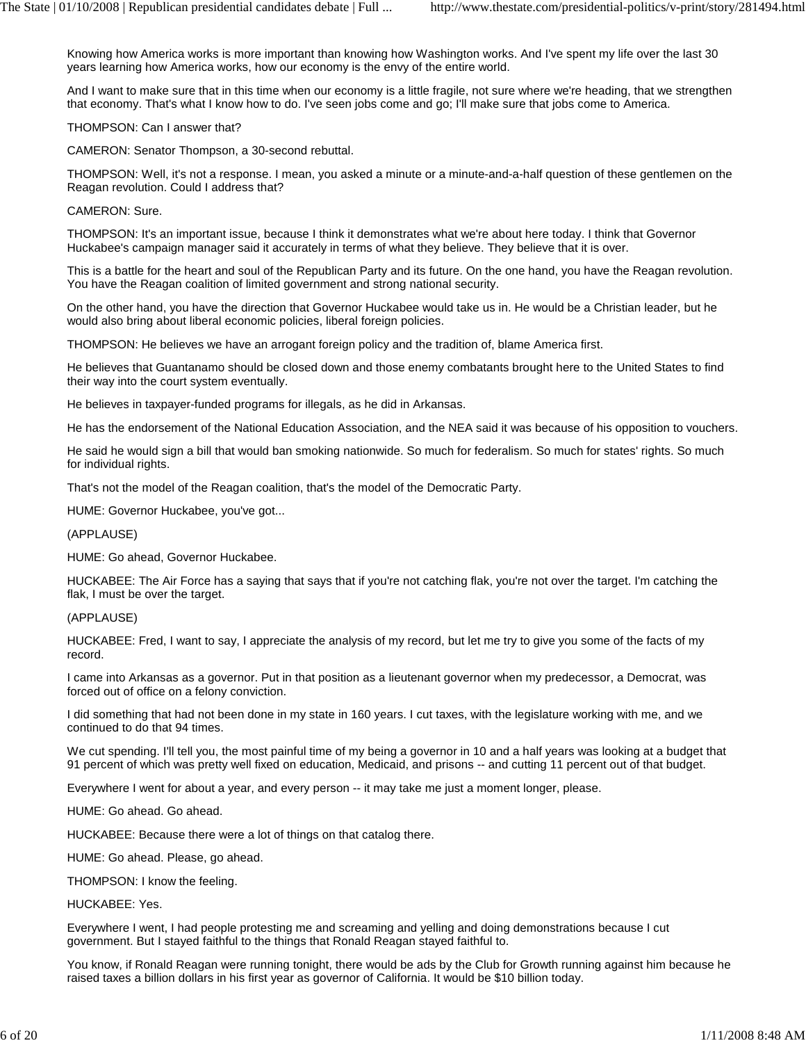Knowing how America works is more important than knowing how Washington works. And I've spent my life over the last 30 years learning how America works, how our economy is the envy of the entire world.

And I want to make sure that in this time when our economy is a little fragile, not sure where we're heading, that we strengthen that economy. That's what I know how to do. I've seen jobs come and go; I'll make sure that jobs come to America.

## THOMPSON: Can I answer that?

CAMERON: Senator Thompson, a 30-second rebuttal.

THOMPSON: Well, it's not a response. I mean, you asked a minute or a minute-and-a-half question of these gentlemen on the Reagan revolution. Could I address that?

CAMERON: Sure.

THOMPSON: It's an important issue, because I think it demonstrates what we're about here today. I think that Governor Huckabee's campaign manager said it accurately in terms of what they believe. They believe that it is over.

This is a battle for the heart and soul of the Republican Party and its future. On the one hand, you have the Reagan revolution. You have the Reagan coalition of limited government and strong national security.

On the other hand, you have the direction that Governor Huckabee would take us in. He would be a Christian leader, but he would also bring about liberal economic policies, liberal foreign policies.

THOMPSON: He believes we have an arrogant foreign policy and the tradition of, blame America first.

He believes that Guantanamo should be closed down and those enemy combatants brought here to the United States to find their way into the court system eventually.

He believes in taxpayer-funded programs for illegals, as he did in Arkansas.

He has the endorsement of the National Education Association, and the NEA said it was because of his opposition to vouchers.

He said he would sign a bill that would ban smoking nationwide. So much for federalism. So much for states' rights. So much for individual rights.

That's not the model of the Reagan coalition, that's the model of the Democratic Party.

HUME: Governor Huckabee, you've got...

(APPLAUSE)

HUME: Go ahead, Governor Huckabee.

HUCKABEE: The Air Force has a saying that says that if you're not catching flak, you're not over the target. I'm catching the flak, I must be over the target.

## (APPLAUSE)

HUCKABEE: Fred, I want to say, I appreciate the analysis of my record, but let me try to give you some of the facts of my record.

I came into Arkansas as a governor. Put in that position as a lieutenant governor when my predecessor, a Democrat, was forced out of office on a felony conviction.

I did something that had not been done in my state in 160 years. I cut taxes, with the legislature working with me, and we continued to do that 94 times.

We cut spending. I'll tell you, the most painful time of my being a governor in 10 and a half years was looking at a budget that 91 percent of which was pretty well fixed on education, Medicaid, and prisons -- and cutting 11 percent out of that budget.

Everywhere I went for about a year, and every person -- it may take me just a moment longer, please.

HUME: Go ahead. Go ahead.

HUCKABEE: Because there were a lot of things on that catalog there.

HUME: Go ahead. Please, go ahead.

THOMPSON: I know the feeling.

HUCKABEE: Yes.

Everywhere I went, I had people protesting me and screaming and yelling and doing demonstrations because I cut government. But I stayed faithful to the things that Ronald Reagan stayed faithful to.

You know, if Ronald Reagan were running tonight, there would be ads by the Club for Growth running against him because he raised taxes a billion dollars in his first year as governor of California. It would be \$10 billion today.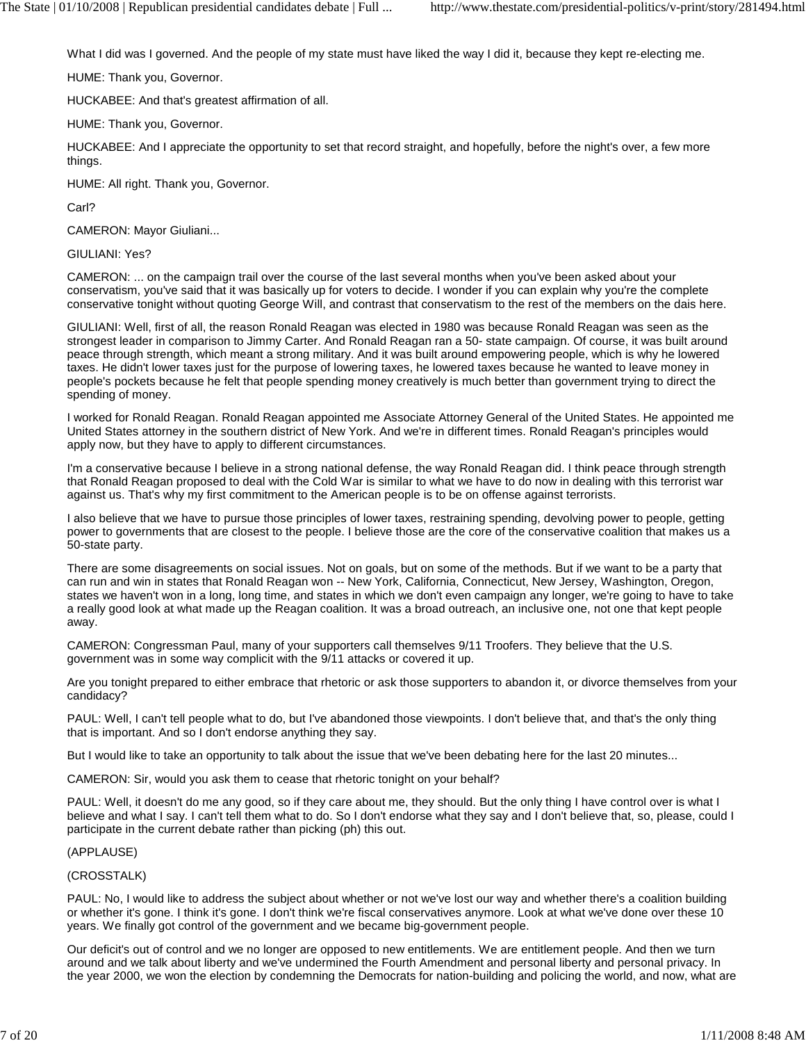What I did was I governed. And the people of my state must have liked the way I did it, because they kept re-electing me.

HUME: Thank you, Governor.

HUCKABEE: And that's greatest affirmation of all.

HUME: Thank you, Governor.

HUCKABEE: And I appreciate the opportunity to set that record straight, and hopefully, before the night's over, a few more things.

HUME: All right. Thank you, Governor.

Carl?

CAMERON: Mayor Giuliani...

GIULIANI: Yes?

CAMERON: ... on the campaign trail over the course of the last several months when you've been asked about your conservatism, you've said that it was basically up for voters to decide. I wonder if you can explain why you're the complete conservative tonight without quoting George Will, and contrast that conservatism to the rest of the members on the dais here.

GIULIANI: Well, first of all, the reason Ronald Reagan was elected in 1980 was because Ronald Reagan was seen as the strongest leader in comparison to Jimmy Carter. And Ronald Reagan ran a 50- state campaign. Of course, it was built around peace through strength, which meant a strong military. And it was built around empowering people, which is why he lowered taxes. He didn't lower taxes just for the purpose of lowering taxes, he lowered taxes because he wanted to leave money in people's pockets because he felt that people spending money creatively is much better than government trying to direct the spending of money.

I worked for Ronald Reagan. Ronald Reagan appointed me Associate Attorney General of the United States. He appointed me United States attorney in the southern district of New York. And we're in different times. Ronald Reagan's principles would apply now, but they have to apply to different circumstances.

I'm a conservative because I believe in a strong national defense, the way Ronald Reagan did. I think peace through strength that Ronald Reagan proposed to deal with the Cold War is similar to what we have to do now in dealing with this terrorist war against us. That's why my first commitment to the American people is to be on offense against terrorists.

I also believe that we have to pursue those principles of lower taxes, restraining spending, devolving power to people, getting power to governments that are closest to the people. I believe those are the core of the conservative coalition that makes us a 50-state party.

There are some disagreements on social issues. Not on goals, but on some of the methods. But if we want to be a party that can run and win in states that Ronald Reagan won -- New York, California, Connecticut, New Jersey, Washington, Oregon, states we haven't won in a long, long time, and states in which we don't even campaign any longer, we're going to have to take a really good look at what made up the Reagan coalition. It was a broad outreach, an inclusive one, not one that kept people away.

CAMERON: Congressman Paul, many of your supporters call themselves 9/11 Troofers. They believe that the U.S. government was in some way complicit with the 9/11 attacks or covered it up.

Are you tonight prepared to either embrace that rhetoric or ask those supporters to abandon it, or divorce themselves from your candidacy?

PAUL: Well, I can't tell people what to do, but I've abandoned those viewpoints. I don't believe that, and that's the only thing that is important. And so I don't endorse anything they say.

But I would like to take an opportunity to talk about the issue that we've been debating here for the last 20 minutes...

CAMERON: Sir, would you ask them to cease that rhetoric tonight on your behalf?

PAUL: Well, it doesn't do me any good, so if they care about me, they should. But the only thing I have control over is what I believe and what I say. I can't tell them what to do. So I don't endorse what they say and I don't believe that, so, please, could I participate in the current debate rather than picking (ph) this out.

## (APPLAUSE)

# (CROSSTALK)

PAUL: No, I would like to address the subject about whether or not we've lost our way and whether there's a coalition building or whether it's gone. I think it's gone. I don't think we're fiscal conservatives anymore. Look at what we've done over these 10 years. We finally got control of the government and we became big-government people.

Our deficit's out of control and we no longer are opposed to new entitlements. We are entitlement people. And then we turn around and we talk about liberty and we've undermined the Fourth Amendment and personal liberty and personal privacy. In the year 2000, we won the election by condemning the Democrats for nation-building and policing the world, and now, what are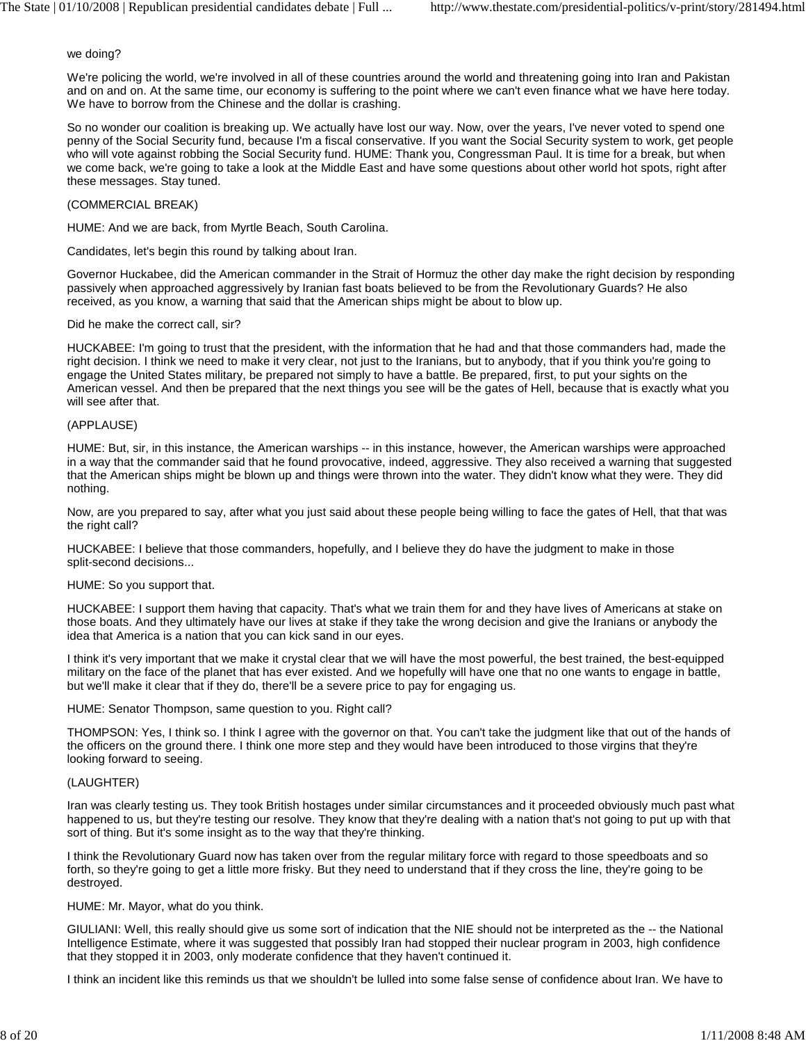## we doing?

We're policing the world, we're involved in all of these countries around the world and threatening going into Iran and Pakistan and on and on. At the same time, our economy is suffering to the point where we can't even finance what we have here today. We have to borrow from the Chinese and the dollar is crashing.

So no wonder our coalition is breaking up. We actually have lost our way. Now, over the years, I've never voted to spend one penny of the Social Security fund, because I'm a fiscal conservative. If you want the Social Security system to work, get people who will vote against robbing the Social Security fund. HUME: Thank you, Congressman Paul. It is time for a break, but when we come back, we're going to take a look at the Middle East and have some questions about other world hot spots, right after these messages. Stay tuned.

## (COMMERCIAL BREAK)

HUME: And we are back, from Myrtle Beach, South Carolina.

Candidates, let's begin this round by talking about Iran.

Governor Huckabee, did the American commander in the Strait of Hormuz the other day make the right decision by responding passively when approached aggressively by Iranian fast boats believed to be from the Revolutionary Guards? He also received, as you know, a warning that said that the American ships might be about to blow up.

## Did he make the correct call, sir?

HUCKABEE: I'm going to trust that the president, with the information that he had and that those commanders had, made the right decision. I think we need to make it very clear, not just to the Iranians, but to anybody, that if you think you're going to engage the United States military, be prepared not simply to have a battle. Be prepared, first, to put your sights on the American vessel. And then be prepared that the next things you see will be the gates of Hell, because that is exactly what you will see after that.

## (APPLAUSE)

HUME: But, sir, in this instance, the American warships -- in this instance, however, the American warships were approached in a way that the commander said that he found provocative, indeed, aggressive. They also received a warning that suggested that the American ships might be blown up and things were thrown into the water. They didn't know what they were. They did nothing.

Now, are you prepared to say, after what you just said about these people being willing to face the gates of Hell, that that was the right call?

HUCKABEE: I believe that those commanders, hopefully, and I believe they do have the judgment to make in those split-second decisions...

#### HUME: So you support that.

HUCKABEE: I support them having that capacity. That's what we train them for and they have lives of Americans at stake on those boats. And they ultimately have our lives at stake if they take the wrong decision and give the Iranians or anybody the idea that America is a nation that you can kick sand in our eyes.

I think it's very important that we make it crystal clear that we will have the most powerful, the best trained, the best-equipped military on the face of the planet that has ever existed. And we hopefully will have one that no one wants to engage in battle, but we'll make it clear that if they do, there'll be a severe price to pay for engaging us.

HUME: Senator Thompson, same question to you. Right call?

THOMPSON: Yes, I think so. I think I agree with the governor on that. You can't take the judgment like that out of the hands of the officers on the ground there. I think one more step and they would have been introduced to those virgins that they're looking forward to seeing.

## (LAUGHTER)

Iran was clearly testing us. They took British hostages under similar circumstances and it proceeded obviously much past what happened to us, but they're testing our resolve. They know that they're dealing with a nation that's not going to put up with that sort of thing. But it's some insight as to the way that they're thinking.

I think the Revolutionary Guard now has taken over from the regular military force with regard to those speedboats and so forth, so they're going to get a little more frisky. But they need to understand that if they cross the line, they're going to be destroyed.

## HUME: Mr. Mayor, what do you think.

GIULIANI: Well, this really should give us some sort of indication that the NIE should not be interpreted as the -- the National Intelligence Estimate, where it was suggested that possibly Iran had stopped their nuclear program in 2003, high confidence that they stopped it in 2003, only moderate confidence that they haven't continued it.

I think an incident like this reminds us that we shouldn't be lulled into some false sense of confidence about Iran. We have to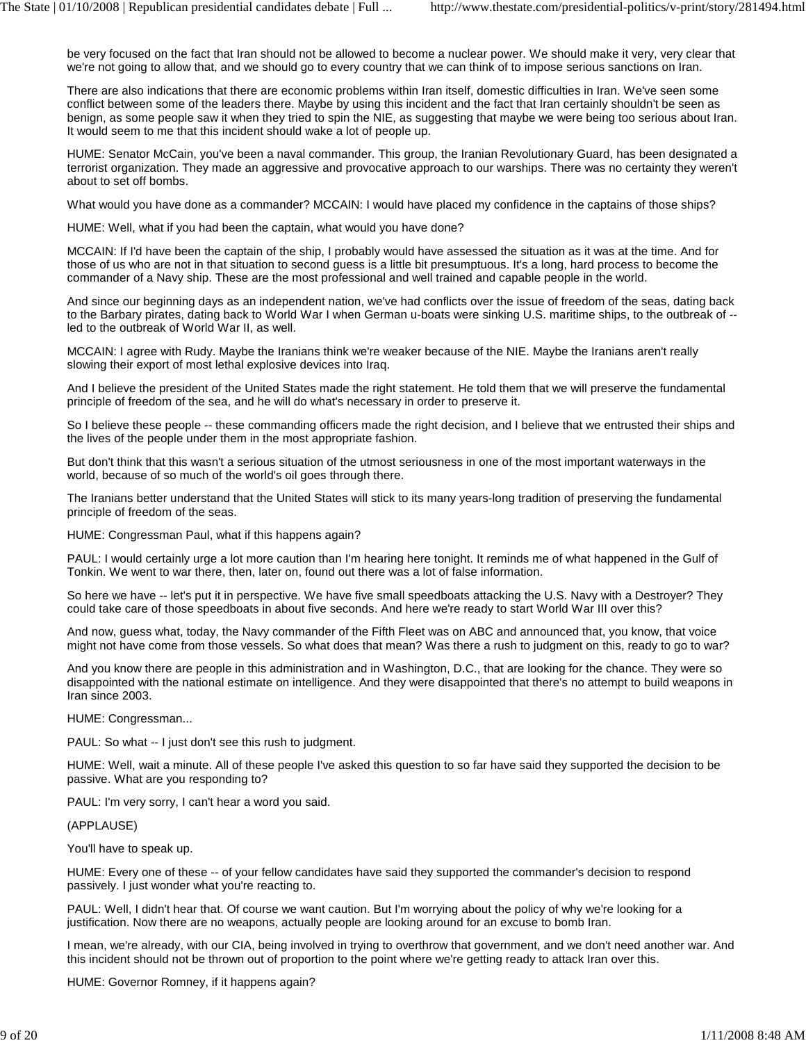be very focused on the fact that Iran should not be allowed to become a nuclear power. We should make it very, very clear that we're not going to allow that, and we should go to every country that we can think of to impose serious sanctions on Iran.

There are also indications that there are economic problems within Iran itself, domestic difficulties in Iran. We've seen some conflict between some of the leaders there. Maybe by using this incident and the fact that Iran certainly shouldn't be seen as benign, as some people saw it when they tried to spin the NIE, as suggesting that maybe we were being too serious about Iran. It would seem to me that this incident should wake a lot of people up.

HUME: Senator McCain, you've been a naval commander. This group, the Iranian Revolutionary Guard, has been designated a terrorist organization. They made an aggressive and provocative approach to our warships. There was no certainty they weren't about to set off bombs.

What would you have done as a commander? MCCAIN: I would have placed my confidence in the captains of those ships?

HUME: Well, what if you had been the captain, what would you have done?

MCCAIN: If I'd have been the captain of the ship, I probably would have assessed the situation as it was at the time. And for those of us who are not in that situation to second guess is a little bit presumptuous. It's a long, hard process to become the commander of a Navy ship. These are the most professional and well trained and capable people in the world.

And since our beginning days as an independent nation, we've had conflicts over the issue of freedom of the seas, dating back to the Barbary pirates, dating back to World War I when German u-boats were sinking U.S. maritime ships, to the outbreak of - led to the outbreak of World War II, as well.

MCCAIN: I agree with Rudy. Maybe the Iranians think we're weaker because of the NIE. Maybe the Iranians aren't really slowing their export of most lethal explosive devices into Iraq.

And I believe the president of the United States made the right statement. He told them that we will preserve the fundamental principle of freedom of the sea, and he will do what's necessary in order to preserve it.

So I believe these people -- these commanding officers made the right decision, and I believe that we entrusted their ships and the lives of the people under them in the most appropriate fashion.

But don't think that this wasn't a serious situation of the utmost seriousness in one of the most important waterways in the world, because of so much of the world's oil goes through there.

The Iranians better understand that the United States will stick to its many years-long tradition of preserving the fundamental principle of freedom of the seas.

HUME: Congressman Paul, what if this happens again?

PAUL: I would certainly urge a lot more caution than I'm hearing here tonight. It reminds me of what happened in the Gulf of Tonkin. We went to war there, then, later on, found out there was a lot of false information.

So here we have -- let's put it in perspective. We have five small speedboats attacking the U.S. Navy with a Destroyer? They could take care of those speedboats in about five seconds. And here we're ready to start World War III over this?

And now, guess what, today, the Navy commander of the Fifth Fleet was on ABC and announced that, you know, that voice might not have come from those vessels. So what does that mean? Was there a rush to judgment on this, ready to go to war?

And you know there are people in this administration and in Washington, D.C., that are looking for the chance. They were so disappointed with the national estimate on intelligence. And they were disappointed that there's no attempt to build weapons in Iran since 2003.

HUME: Congressman...

PAUL: So what -- I just don't see this rush to judgment.

HUME: Well, wait a minute. All of these people I've asked this question to so far have said they supported the decision to be passive. What are you responding to?

PAUL: I'm very sorry, I can't hear a word you said.

(APPLAUSE)

You'll have to speak up.

HUME: Every one of these -- of your fellow candidates have said they supported the commander's decision to respond passively. I just wonder what you're reacting to.

PAUL: Well, I didn't hear that. Of course we want caution. But I'm worrying about the policy of why we're looking for a justification. Now there are no weapons, actually people are looking around for an excuse to bomb Iran.

I mean, we're already, with our CIA, being involved in trying to overthrow that government, and we don't need another war. And this incident should not be thrown out of proportion to the point where we're getting ready to attack Iran over this.

HUME: Governor Romney, if it happens again?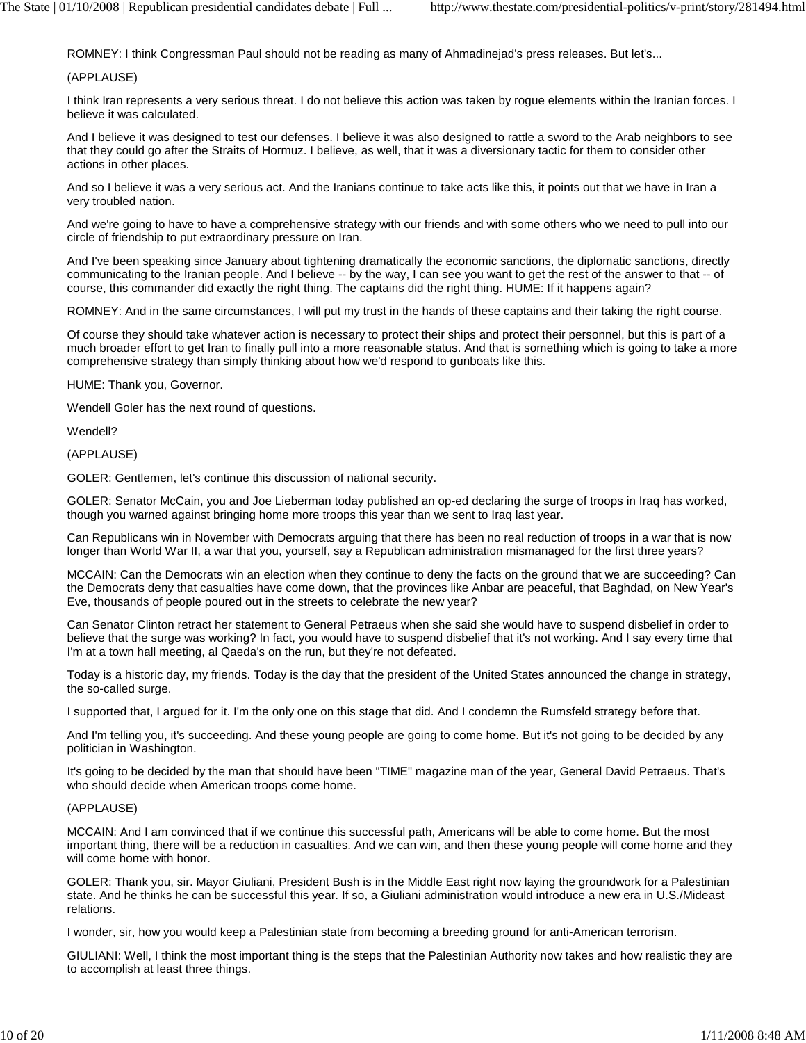ROMNEY: I think Congressman Paul should not be reading as many of Ahmadinejad's press releases. But let's...

(APPLAUSE)

I think Iran represents a very serious threat. I do not believe this action was taken by rogue elements within the Iranian forces. I believe it was calculated.

And I believe it was designed to test our defenses. I believe it was also designed to rattle a sword to the Arab neighbors to see that they could go after the Straits of Hormuz. I believe, as well, that it was a diversionary tactic for them to consider other actions in other places.

And so I believe it was a very serious act. And the Iranians continue to take acts like this, it points out that we have in Iran a very troubled nation.

And we're going to have to have a comprehensive strategy with our friends and with some others who we need to pull into our circle of friendship to put extraordinary pressure on Iran.

And I've been speaking since January about tightening dramatically the economic sanctions, the diplomatic sanctions, directly communicating to the Iranian people. And I believe -- by the way, I can see you want to get the rest of the answer to that -- of course, this commander did exactly the right thing. The captains did the right thing. HUME: If it happens again?

ROMNEY: And in the same circumstances, I will put my trust in the hands of these captains and their taking the right course.

Of course they should take whatever action is necessary to protect their ships and protect their personnel, but this is part of a much broader effort to get Iran to finally pull into a more reasonable status. And that is something which is going to take a more comprehensive strategy than simply thinking about how we'd respond to gunboats like this.

HUME: Thank you, Governor.

Wendell Goler has the next round of questions.

Wendell?

(APPLAUSE)

GOLER: Gentlemen, let's continue this discussion of national security.

GOLER: Senator McCain, you and Joe Lieberman today published an op-ed declaring the surge of troops in Iraq has worked, though you warned against bringing home more troops this year than we sent to Iraq last year.

Can Republicans win in November with Democrats arguing that there has been no real reduction of troops in a war that is now longer than World War II, a war that you, yourself, say a Republican administration mismanaged for the first three years?

MCCAIN: Can the Democrats win an election when they continue to deny the facts on the ground that we are succeeding? Can the Democrats deny that casualties have come down, that the provinces like Anbar are peaceful, that Baghdad, on New Year's Eve, thousands of people poured out in the streets to celebrate the new year?

Can Senator Clinton retract her statement to General Petraeus when she said she would have to suspend disbelief in order to believe that the surge was working? In fact, you would have to suspend disbelief that it's not working. And I say every time that I'm at a town hall meeting, al Qaeda's on the run, but they're not defeated.

Today is a historic day, my friends. Today is the day that the president of the United States announced the change in strategy, the so-called surge.

I supported that, I argued for it. I'm the only one on this stage that did. And I condemn the Rumsfeld strategy before that.

And I'm telling you, it's succeeding. And these young people are going to come home. But it's not going to be decided by any politician in Washington.

It's going to be decided by the man that should have been "TIME" magazine man of the year, General David Petraeus. That's who should decide when American troops come home.

## (APPLAUSE)

MCCAIN: And I am convinced that if we continue this successful path, Americans will be able to come home. But the most important thing, there will be a reduction in casualties. And we can win, and then these young people will come home and they will come home with honor.

GOLER: Thank you, sir. Mayor Giuliani, President Bush is in the Middle East right now laying the groundwork for a Palestinian state. And he thinks he can be successful this year. If so, a Giuliani administration would introduce a new era in U.S./Mideast relations.

I wonder, sir, how you would keep a Palestinian state from becoming a breeding ground for anti-American terrorism.

GIULIANI: Well, I think the most important thing is the steps that the Palestinian Authority now takes and how realistic they are to accomplish at least three things.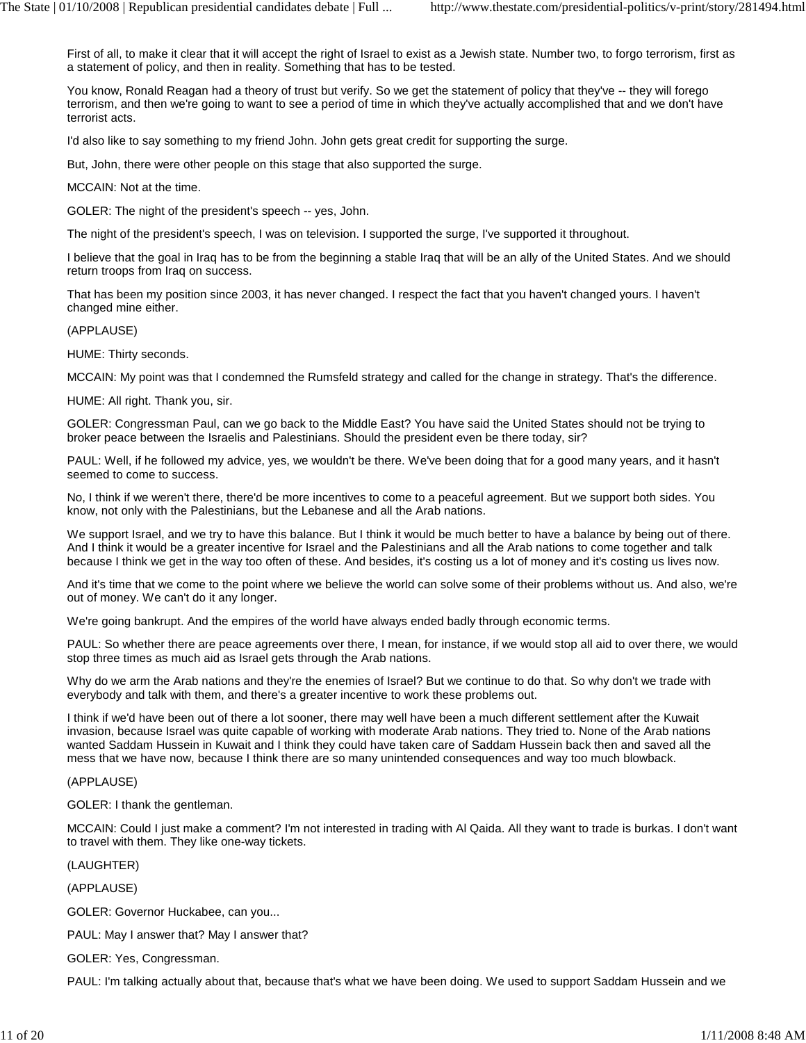First of all, to make it clear that it will accept the right of Israel to exist as a Jewish state. Number two, to forgo terrorism, first as a statement of policy, and then in reality. Something that has to be tested.

You know, Ronald Reagan had a theory of trust but verify. So we get the statement of policy that they've -- they will forego terrorism, and then we're going to want to see a period of time in which they've actually accomplished that and we don't have terrorist acts.

I'd also like to say something to my friend John. John gets great credit for supporting the surge.

But, John, there were other people on this stage that also supported the surge.

MCCAIN: Not at the time.

GOLER: The night of the president's speech -- yes, John.

The night of the president's speech, I was on television. I supported the surge, I've supported it throughout.

I believe that the goal in Iraq has to be from the beginning a stable Iraq that will be an ally of the United States. And we should return troops from Iraq on success.

That has been my position since 2003, it has never changed. I respect the fact that you haven't changed yours. I haven't changed mine either.

(APPLAUSE)

HUME: Thirty seconds.

MCCAIN: My point was that I condemned the Rumsfeld strategy and called for the change in strategy. That's the difference.

HUME: All right. Thank you, sir.

GOLER: Congressman Paul, can we go back to the Middle East? You have said the United States should not be trying to broker peace between the Israelis and Palestinians. Should the president even be there today, sir?

PAUL: Well, if he followed my advice, yes, we wouldn't be there. We've been doing that for a good many years, and it hasn't seemed to come to success.

No, I think if we weren't there, there'd be more incentives to come to a peaceful agreement. But we support both sides. You know, not only with the Palestinians, but the Lebanese and all the Arab nations.

We support Israel, and we try to have this balance. But I think it would be much better to have a balance by being out of there. And I think it would be a greater incentive for Israel and the Palestinians and all the Arab nations to come together and talk because I think we get in the way too often of these. And besides, it's costing us a lot of money and it's costing us lives now.

And it's time that we come to the point where we believe the world can solve some of their problems without us. And also, we're out of money. We can't do it any longer.

We're going bankrupt. And the empires of the world have always ended badly through economic terms.

PAUL: So whether there are peace agreements over there, I mean, for instance, if we would stop all aid to over there, we would stop three times as much aid as Israel gets through the Arab nations.

Why do we arm the Arab nations and they're the enemies of Israel? But we continue to do that. So why don't we trade with everybody and talk with them, and there's a greater incentive to work these problems out.

I think if we'd have been out of there a lot sooner, there may well have been a much different settlement after the Kuwait invasion, because Israel was quite capable of working with moderate Arab nations. They tried to. None of the Arab nations wanted Saddam Hussein in Kuwait and I think they could have taken care of Saddam Hussein back then and saved all the mess that we have now, because I think there are so many unintended consequences and way too much blowback.

(APPLAUSE)

GOLER: I thank the gentleman.

MCCAIN: Could I just make a comment? I'm not interested in trading with Al Qaida. All they want to trade is burkas. I don't want to travel with them. They like one-way tickets.

(LAUGHTER)

(APPLAUSE)

GOLER: Governor Huckabee, can you...

PAUL: May I answer that? May I answer that?

GOLER: Yes, Congressman.

PAUL: I'm talking actually about that, because that's what we have been doing. We used to support Saddam Hussein and we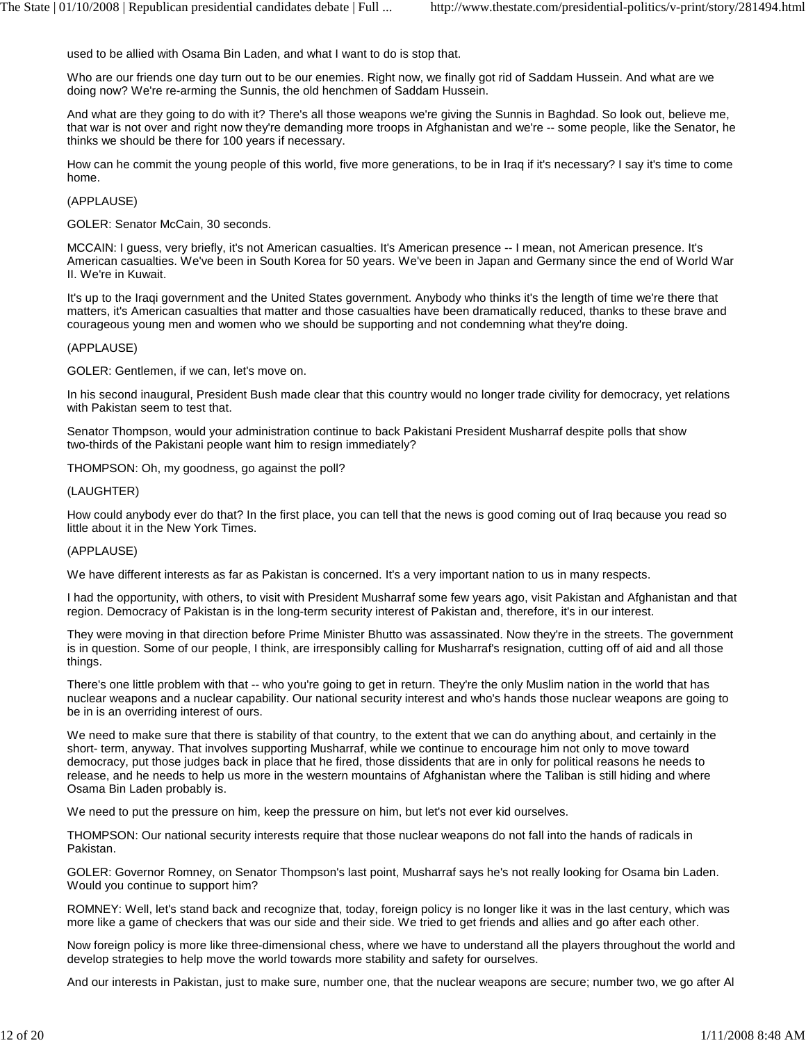used to be allied with Osama Bin Laden, and what I want to do is stop that.

Who are our friends one day turn out to be our enemies. Right now, we finally got rid of Saddam Hussein. And what are we doing now? We're re-arming the Sunnis, the old henchmen of Saddam Hussein.

And what are they going to do with it? There's all those weapons we're giving the Sunnis in Baghdad. So look out, believe me, that war is not over and right now they're demanding more troops in Afghanistan and we're -- some people, like the Senator, he thinks we should be there for 100 years if necessary.

How can he commit the young people of this world, five more generations, to be in Iraq if it's necessary? I say it's time to come home.

(APPLAUSE)

GOLER: Senator McCain, 30 seconds.

MCCAIN: I guess, very briefly, it's not American casualties. It's American presence -- I mean, not American presence. It's American casualties. We've been in South Korea for 50 years. We've been in Japan and Germany since the end of World War II. We're in Kuwait.

It's up to the Iraqi government and the United States government. Anybody who thinks it's the length of time we're there that matters, it's American casualties that matter and those casualties have been dramatically reduced, thanks to these brave and courageous young men and women who we should be supporting and not condemning what they're doing.

## (APPLAUSE)

GOLER: Gentlemen, if we can, let's move on.

In his second inaugural, President Bush made clear that this country would no longer trade civility for democracy, yet relations with Pakistan seem to test that.

Senator Thompson, would your administration continue to back Pakistani President Musharraf despite polls that show two-thirds of the Pakistani people want him to resign immediately?

THOMPSON: Oh, my goodness, go against the poll?

## (LAUGHTER)

How could anybody ever do that? In the first place, you can tell that the news is good coming out of Iraq because you read so little about it in the New York Times.

#### (APPLAUSE)

We have different interests as far as Pakistan is concerned. It's a very important nation to us in many respects.

I had the opportunity, with others, to visit with President Musharraf some few years ago, visit Pakistan and Afghanistan and that region. Democracy of Pakistan is in the long-term security interest of Pakistan and, therefore, it's in our interest.

They were moving in that direction before Prime Minister Bhutto was assassinated. Now they're in the streets. The government is in question. Some of our people, I think, are irresponsibly calling for Musharraf's resignation, cutting off of aid and all those things.

There's one little problem with that -- who you're going to get in return. They're the only Muslim nation in the world that has nuclear weapons and a nuclear capability. Our national security interest and who's hands those nuclear weapons are going to be in is an overriding interest of ours.

We need to make sure that there is stability of that country, to the extent that we can do anything about, and certainly in the short- term, anyway. That involves supporting Musharraf, while we continue to encourage him not only to move toward democracy, put those judges back in place that he fired, those dissidents that are in only for political reasons he needs to release, and he needs to help us more in the western mountains of Afghanistan where the Taliban is still hiding and where Osama Bin Laden probably is.

We need to put the pressure on him, keep the pressure on him, but let's not ever kid ourselves.

THOMPSON: Our national security interests require that those nuclear weapons do not fall into the hands of radicals in Pakistan.

GOLER: Governor Romney, on Senator Thompson's last point, Musharraf says he's not really looking for Osama bin Laden. Would you continue to support him?

ROMNEY: Well, let's stand back and recognize that, today, foreign policy is no longer like it was in the last century, which was more like a game of checkers that was our side and their side. We tried to get friends and allies and go after each other.

Now foreign policy is more like three-dimensional chess, where we have to understand all the players throughout the world and develop strategies to help move the world towards more stability and safety for ourselves.

And our interests in Pakistan, just to make sure, number one, that the nuclear weapons are secure; number two, we go after Al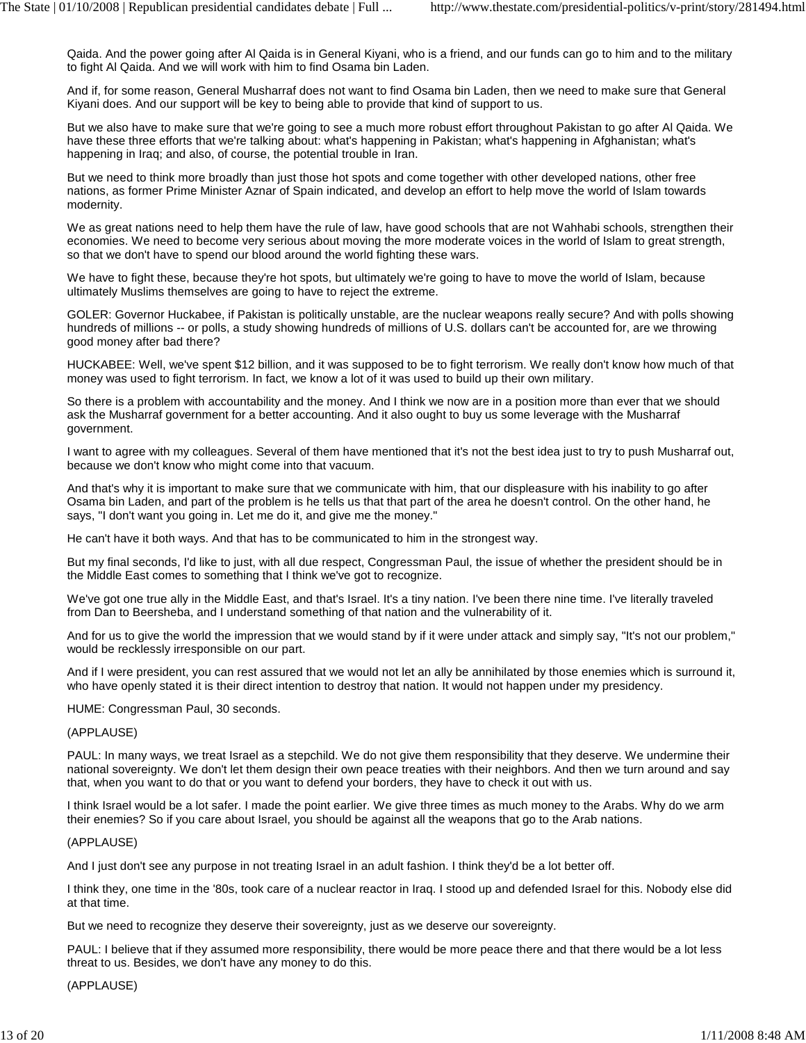Qaida. And the power going after Al Qaida is in General Kiyani, who is a friend, and our funds can go to him and to the military to fight Al Qaida. And we will work with him to find Osama bin Laden.

And if, for some reason, General Musharraf does not want to find Osama bin Laden, then we need to make sure that General Kiyani does. And our support will be key to being able to provide that kind of support to us.

But we also have to make sure that we're going to see a much more robust effort throughout Pakistan to go after Al Qaida. We have these three efforts that we're talking about: what's happening in Pakistan; what's happening in Afghanistan; what's happening in Iraq; and also, of course, the potential trouble in Iran.

But we need to think more broadly than just those hot spots and come together with other developed nations, other free nations, as former Prime Minister Aznar of Spain indicated, and develop an effort to help move the world of Islam towards modernity.

We as great nations need to help them have the rule of law, have good schools that are not Wahhabi schools, strengthen their economies. We need to become very serious about moving the more moderate voices in the world of Islam to great strength, so that we don't have to spend our blood around the world fighting these wars.

We have to fight these, because they're hot spots, but ultimately we're going to have to move the world of Islam, because ultimately Muslims themselves are going to have to reject the extreme.

GOLER: Governor Huckabee, if Pakistan is politically unstable, are the nuclear weapons really secure? And with polls showing hundreds of millions -- or polls, a study showing hundreds of millions of U.S. dollars can't be accounted for, are we throwing good money after bad there?

HUCKABEE: Well, we've spent \$12 billion, and it was supposed to be to fight terrorism. We really don't know how much of that money was used to fight terrorism. In fact, we know a lot of it was used to build up their own military.

So there is a problem with accountability and the money. And I think we now are in a position more than ever that we should ask the Musharraf government for a better accounting. And it also ought to buy us some leverage with the Musharraf government.

I want to agree with my colleagues. Several of them have mentioned that it's not the best idea just to try to push Musharraf out, because we don't know who might come into that vacuum.

And that's why it is important to make sure that we communicate with him, that our displeasure with his inability to go after Osama bin Laden, and part of the problem is he tells us that that part of the area he doesn't control. On the other hand, he says, "I don't want you going in. Let me do it, and give me the money."

He can't have it both ways. And that has to be communicated to him in the strongest way.

But my final seconds, I'd like to just, with all due respect, Congressman Paul, the issue of whether the president should be in the Middle East comes to something that I think we've got to recognize.

We've got one true ally in the Middle East, and that's Israel. It's a tiny nation. I've been there nine time. I've literally traveled from Dan to Beersheba, and I understand something of that nation and the vulnerability of it.

And for us to give the world the impression that we would stand by if it were under attack and simply say, "It's not our problem," would be recklessly irresponsible on our part.

And if I were president, you can rest assured that we would not let an ally be annihilated by those enemies which is surround it, who have openly stated it is their direct intention to destroy that nation. It would not happen under my presidency.

HUME: Congressman Paul, 30 seconds.

# (APPLAUSE)

PAUL: In many ways, we treat Israel as a stepchild. We do not give them responsibility that they deserve. We undermine their national sovereignty. We don't let them design their own peace treaties with their neighbors. And then we turn around and say that, when you want to do that or you want to defend your borders, they have to check it out with us.

I think Israel would be a lot safer. I made the point earlier. We give three times as much money to the Arabs. Why do we arm their enemies? So if you care about Israel, you should be against all the weapons that go to the Arab nations.

## (APPLAUSE)

And I just don't see any purpose in not treating Israel in an adult fashion. I think they'd be a lot better off.

I think they, one time in the '80s, took care of a nuclear reactor in Iraq. I stood up and defended Israel for this. Nobody else did at that time.

But we need to recognize they deserve their sovereignty, just as we deserve our sovereignty.

PAUL: I believe that if they assumed more responsibility, there would be more peace there and that there would be a lot less threat to us. Besides, we don't have any money to do this.

(APPLAUSE)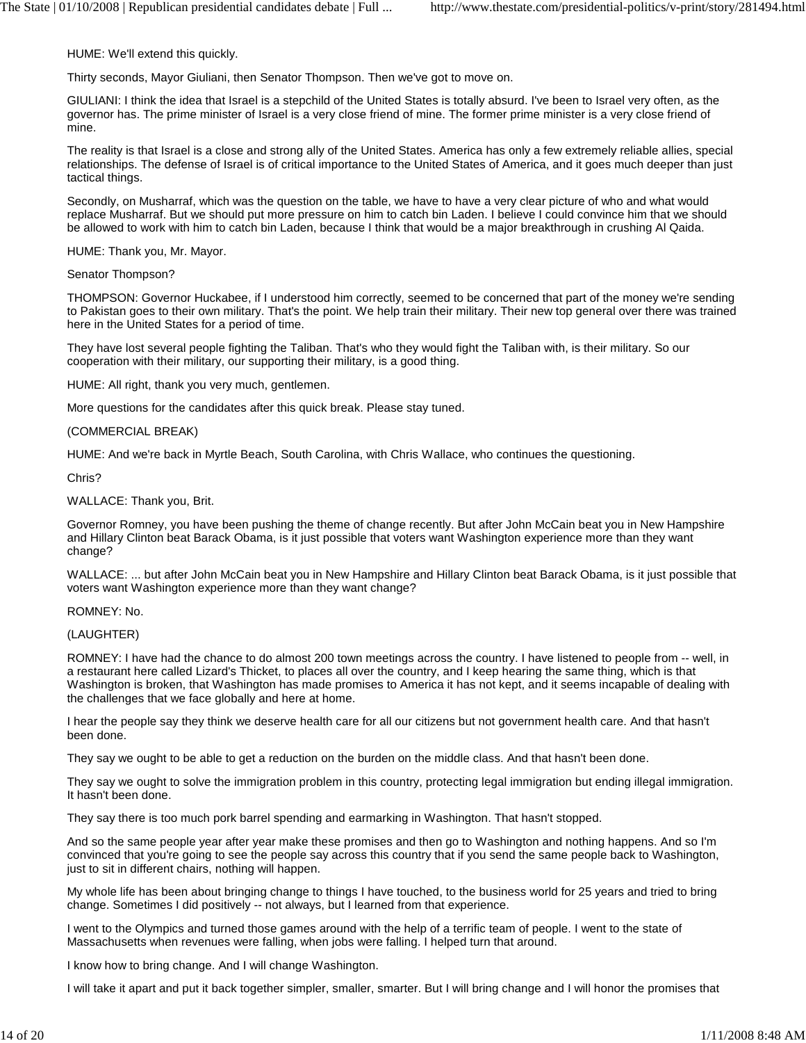HUME: We'll extend this quickly.

Thirty seconds, Mayor Giuliani, then Senator Thompson. Then we've got to move on.

GIULIANI: I think the idea that Israel is a stepchild of the United States is totally absurd. I've been to Israel very often, as the governor has. The prime minister of Israel is a very close friend of mine. The former prime minister is a very close friend of mine.

The reality is that Israel is a close and strong ally of the United States. America has only a few extremely reliable allies, special relationships. The defense of Israel is of critical importance to the United States of America, and it goes much deeper than just tactical things.

Secondly, on Musharraf, which was the question on the table, we have to have a very clear picture of who and what would replace Musharraf. But we should put more pressure on him to catch bin Laden. I believe I could convince him that we should be allowed to work with him to catch bin Laden, because I think that would be a major breakthrough in crushing Al Qaida.

HUME: Thank you, Mr. Mayor.

Senator Thompson?

THOMPSON: Governor Huckabee, if I understood him correctly, seemed to be concerned that part of the money we're sending to Pakistan goes to their own military. That's the point. We help train their military. Their new top general over there was trained here in the United States for a period of time.

They have lost several people fighting the Taliban. That's who they would fight the Taliban with, is their military. So our cooperation with their military, our supporting their military, is a good thing.

HUME: All right, thank you very much, gentlemen.

More questions for the candidates after this quick break. Please stay tuned.

## (COMMERCIAL BREAK)

HUME: And we're back in Myrtle Beach, South Carolina, with Chris Wallace, who continues the questioning.

Chris?

WALLACE: Thank you, Brit.

Governor Romney, you have been pushing the theme of change recently. But after John McCain beat you in New Hampshire and Hillary Clinton beat Barack Obama, is it just possible that voters want Washington experience more than they want change?

WALLACE: ... but after John McCain beat you in New Hampshire and Hillary Clinton beat Barack Obama, is it just possible that voters want Washington experience more than they want change?

ROMNEY: No.

(LAUGHTER)

ROMNEY: I have had the chance to do almost 200 town meetings across the country. I have listened to people from -- well, in a restaurant here called Lizard's Thicket, to places all over the country, and I keep hearing the same thing, which is that Washington is broken, that Washington has made promises to America it has not kept, and it seems incapable of dealing with the challenges that we face globally and here at home.

I hear the people say they think we deserve health care for all our citizens but not government health care. And that hasn't been done.

They say we ought to be able to get a reduction on the burden on the middle class. And that hasn't been done.

They say we ought to solve the immigration problem in this country, protecting legal immigration but ending illegal immigration. It hasn't been done.

They say there is too much pork barrel spending and earmarking in Washington. That hasn't stopped.

And so the same people year after year make these promises and then go to Washington and nothing happens. And so I'm convinced that you're going to see the people say across this country that if you send the same people back to Washington, just to sit in different chairs, nothing will happen.

My whole life has been about bringing change to things I have touched, to the business world for 25 years and tried to bring change. Sometimes I did positively -- not always, but I learned from that experience.

I went to the Olympics and turned those games around with the help of a terrific team of people. I went to the state of Massachusetts when revenues were falling, when jobs were falling. I helped turn that around.

I know how to bring change. And I will change Washington.

I will take it apart and put it back together simpler, smaller, smarter. But I will bring change and I will honor the promises that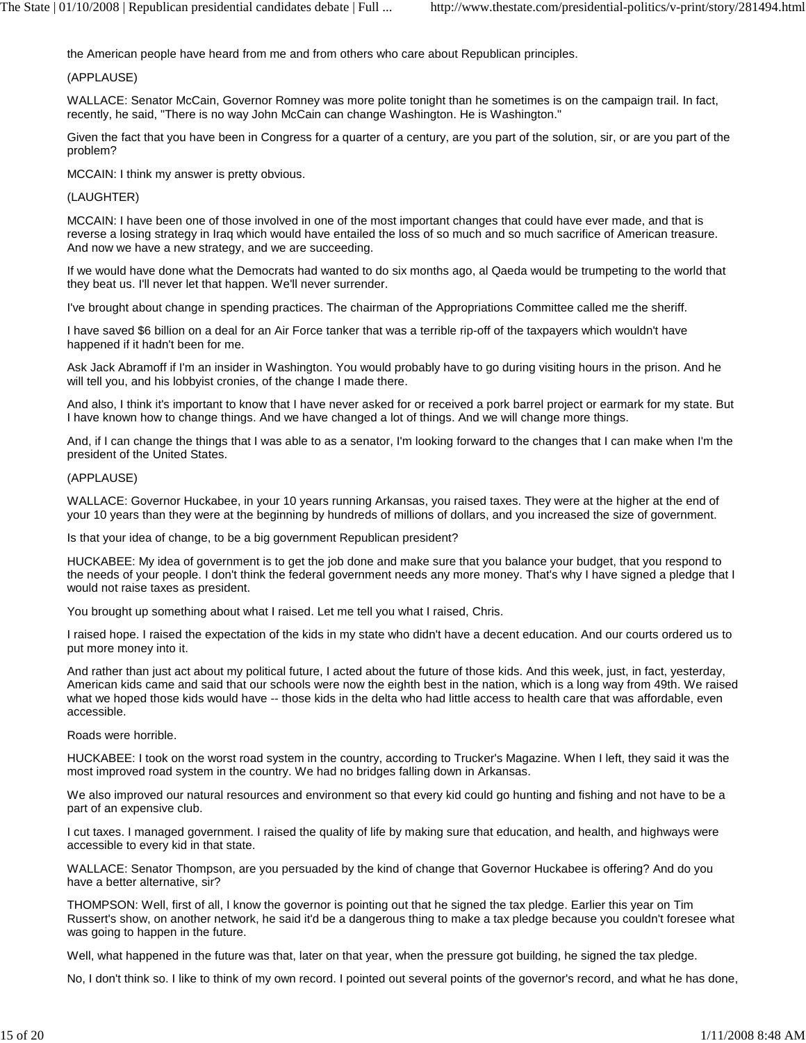the American people have heard from me and from others who care about Republican principles.

# (APPLAUSE)

WALLACE: Senator McCain, Governor Romney was more polite tonight than he sometimes is on the campaign trail. In fact, recently, he said, "There is no way John McCain can change Washington. He is Washington."

Given the fact that you have been in Congress for a quarter of a century, are you part of the solution, sir, or are you part of the problem?

MCCAIN: I think my answer is pretty obvious.

## (LAUGHTER)

MCCAIN: I have been one of those involved in one of the most important changes that could have ever made, and that is reverse a losing strategy in Iraq which would have entailed the loss of so much and so much sacrifice of American treasure. And now we have a new strategy, and we are succeeding.

If we would have done what the Democrats had wanted to do six months ago, al Qaeda would be trumpeting to the world that they beat us. I'll never let that happen. We'll never surrender.

I've brought about change in spending practices. The chairman of the Appropriations Committee called me the sheriff.

I have saved \$6 billion on a deal for an Air Force tanker that was a terrible rip-off of the taxpayers which wouldn't have happened if it hadn't been for me.

Ask Jack Abramoff if I'm an insider in Washington. You would probably have to go during visiting hours in the prison. And he will tell you, and his lobbyist cronies, of the change I made there.

And also, I think it's important to know that I have never asked for or received a pork barrel project or earmark for my state. But I have known how to change things. And we have changed a lot of things. And we will change more things.

And, if I can change the things that I was able to as a senator, I'm looking forward to the changes that I can make when I'm the president of the United States.

## (APPLAUSE)

WALLACE: Governor Huckabee, in your 10 years running Arkansas, you raised taxes. They were at the higher at the end of your 10 years than they were at the beginning by hundreds of millions of dollars, and you increased the size of government.

Is that your idea of change, to be a big government Republican president?

HUCKABEE: My idea of government is to get the job done and make sure that you balance your budget, that you respond to the needs of your people. I don't think the federal government needs any more money. That's why I have signed a pledge that I would not raise taxes as president.

You brought up something about what I raised. Let me tell you what I raised, Chris.

I raised hope. I raised the expectation of the kids in my state who didn't have a decent education. And our courts ordered us to put more money into it.

And rather than just act about my political future, I acted about the future of those kids. And this week, just, in fact, yesterday, American kids came and said that our schools were now the eighth best in the nation, which is a long way from 49th. We raised what we hoped those kids would have -- those kids in the delta who had little access to health care that was affordable, even accessible.

Roads were horrible.

HUCKABEE: I took on the worst road system in the country, according to Trucker's Magazine. When I left, they said it was the most improved road system in the country. We had no bridges falling down in Arkansas.

We also improved our natural resources and environment so that every kid could go hunting and fishing and not have to be a part of an expensive club.

I cut taxes. I managed government. I raised the quality of life by making sure that education, and health, and highways were accessible to every kid in that state.

WALLACE: Senator Thompson, are you persuaded by the kind of change that Governor Huckabee is offering? And do you have a better alternative, sir?

THOMPSON: Well, first of all, I know the governor is pointing out that he signed the tax pledge. Earlier this year on Tim Russert's show, on another network, he said it'd be a dangerous thing to make a tax pledge because you couldn't foresee what was going to happen in the future.

Well, what happened in the future was that, later on that year, when the pressure got building, he signed the tax pledge.

No, I don't think so. I like to think of my own record. I pointed out several points of the governor's record, and what he has done,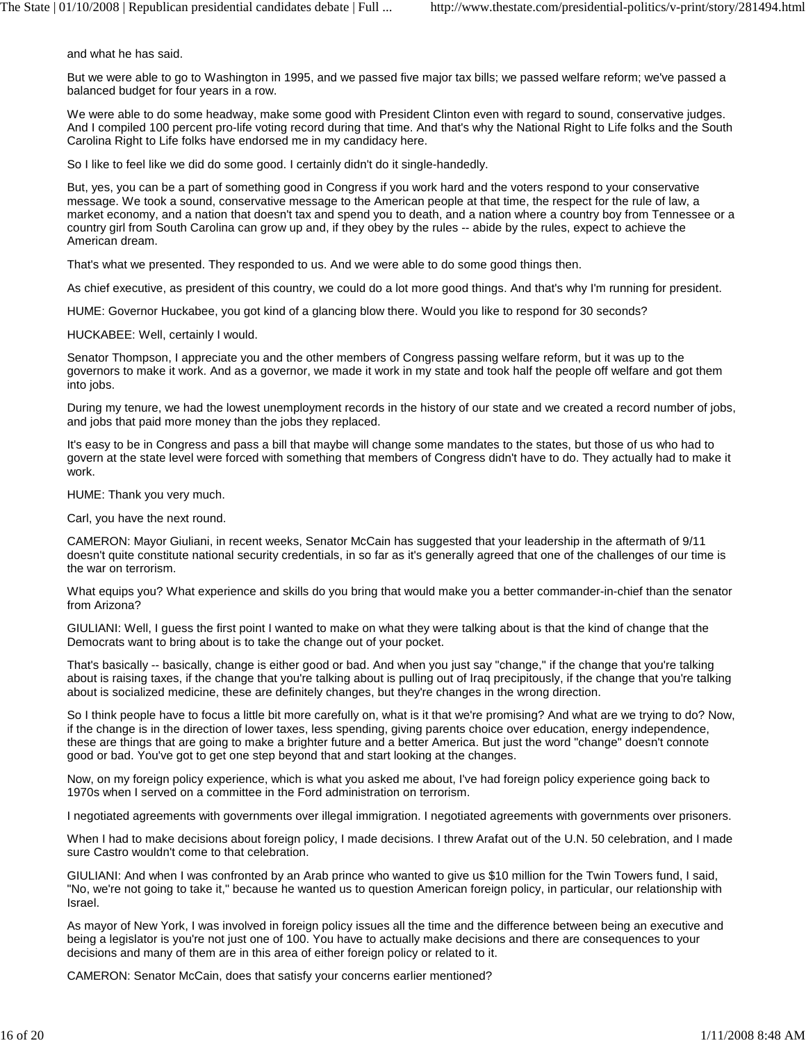and what he has said.

But we were able to go to Washington in 1995, and we passed five major tax bills; we passed welfare reform; we've passed a balanced budget for four years in a row.

We were able to do some headway, make some good with President Clinton even with regard to sound, conservative judges. And I compiled 100 percent pro-life voting record during that time. And that's why the National Right to Life folks and the South Carolina Right to Life folks have endorsed me in my candidacy here.

So I like to feel like we did do some good. I certainly didn't do it single-handedly.

But, yes, you can be a part of something good in Congress if you work hard and the voters respond to your conservative message. We took a sound, conservative message to the American people at that time, the respect for the rule of law, a market economy, and a nation that doesn't tax and spend you to death, and a nation where a country boy from Tennessee or a country girl from South Carolina can grow up and, if they obey by the rules -- abide by the rules, expect to achieve the American dream.

That's what we presented. They responded to us. And we were able to do some good things then.

As chief executive, as president of this country, we could do a lot more good things. And that's why I'm running for president.

HUME: Governor Huckabee, you got kind of a glancing blow there. Would you like to respond for 30 seconds?

HUCKABEE: Well, certainly I would.

Senator Thompson, I appreciate you and the other members of Congress passing welfare reform, but it was up to the governors to make it work. And as a governor, we made it work in my state and took half the people off welfare and got them into jobs.

During my tenure, we had the lowest unemployment records in the history of our state and we created a record number of jobs, and jobs that paid more money than the jobs they replaced.

It's easy to be in Congress and pass a bill that maybe will change some mandates to the states, but those of us who had to govern at the state level were forced with something that members of Congress didn't have to do. They actually had to make it work.

HUME: Thank you very much.

Carl, you have the next round.

CAMERON: Mayor Giuliani, in recent weeks, Senator McCain has suggested that your leadership in the aftermath of 9/11 doesn't quite constitute national security credentials, in so far as it's generally agreed that one of the challenges of our time is the war on terrorism.

What equips you? What experience and skills do you bring that would make you a better commander-in-chief than the senator from Arizona?

GIULIANI: Well, I guess the first point I wanted to make on what they were talking about is that the kind of change that the Democrats want to bring about is to take the change out of your pocket.

That's basically -- basically, change is either good or bad. And when you just say "change," if the change that you're talking about is raising taxes, if the change that you're talking about is pulling out of Iraq precipitously, if the change that you're talking about is socialized medicine, these are definitely changes, but they're changes in the wrong direction.

So I think people have to focus a little bit more carefully on, what is it that we're promising? And what are we trying to do? Now, if the change is in the direction of lower taxes, less spending, giving parents choice over education, energy independence, these are things that are going to make a brighter future and a better America. But just the word "change" doesn't connote good or bad. You've got to get one step beyond that and start looking at the changes.

Now, on my foreign policy experience, which is what you asked me about, I've had foreign policy experience going back to 1970s when I served on a committee in the Ford administration on terrorism.

I negotiated agreements with governments over illegal immigration. I negotiated agreements with governments over prisoners.

When I had to make decisions about foreign policy, I made decisions. I threw Arafat out of the U.N. 50 celebration, and I made sure Castro wouldn't come to that celebration.

GIULIANI: And when I was confronted by an Arab prince who wanted to give us \$10 million for the Twin Towers fund, I said, "No, we're not going to take it," because he wanted us to question American foreign policy, in particular, our relationship with Israel.

As mayor of New York, I was involved in foreign policy issues all the time and the difference between being an executive and being a legislator is you're not just one of 100. You have to actually make decisions and there are consequences to your decisions and many of them are in this area of either foreign policy or related to it.

CAMERON: Senator McCain, does that satisfy your concerns earlier mentioned?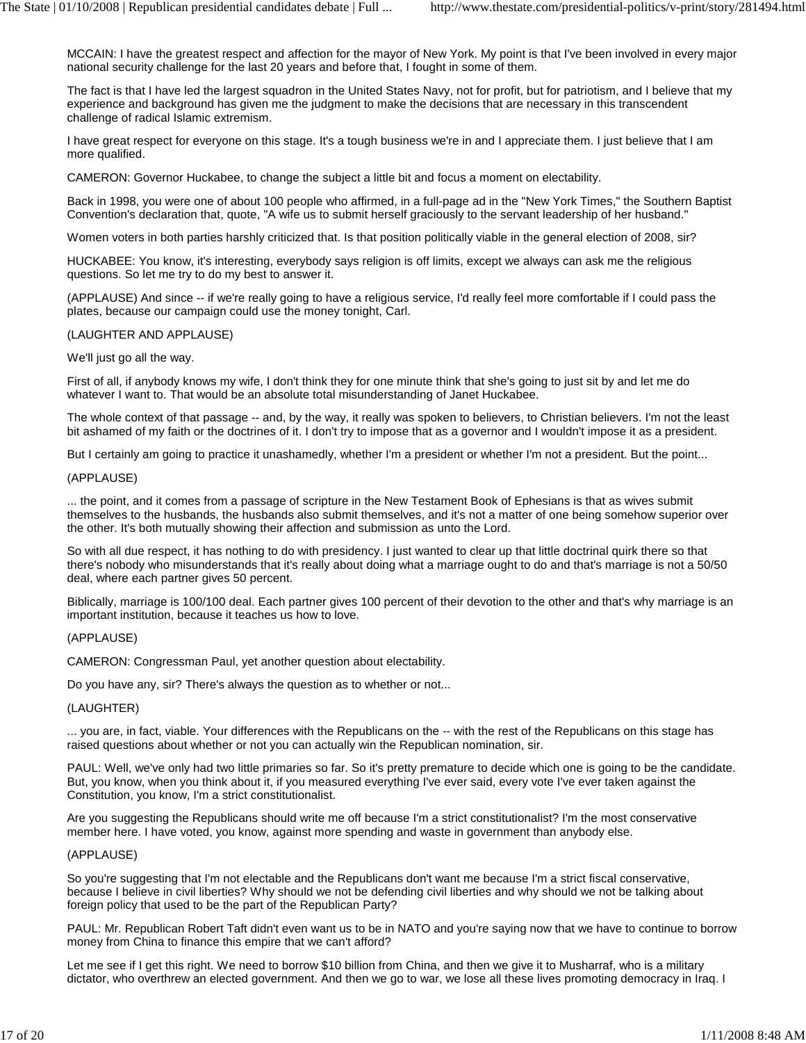MCCAIN: I have the greatest respect and affection for the mayor of New York. My point is that I've been involved in every major national security challenge for the last 20 years and before that, I fought in some of them.

The fact is that I have led the largest squadron in the United States Navy, not for profit, but for patriotism, and I believe that my experience and background has given me the judgment to make the decisions that are necessary in this transcendent challenge of radical Islamic extremism.

I have great respect for everyone on this stage. It's a tough business we're in and I appreciate them. I just believe that I am more qualified.

CAMERON: Governor Huckabee, to change the subject a little bit and focus a moment on electability.

Back in 1998, you were one of about 100 people who affirmed, in a full-page ad in the "New York Times," the Southern Baptist Convention's declaration that, quote, "A wife us to submit herself graciously to the servant leadership of her husband."

Women voters in both parties harshly criticized that. Is that position politically viable in the general election of 2008, sir?

HUCKABEE: You know, it's interesting, everybody says religion is off limits, except we always can ask me the religious questions. So let me try to do my best to answer it.

(APPLAUSE) And since -- if we're really going to have a religious service, I'd really feel more comfortable if I could pass the plates, because our campaign could use the money tonight, Carl.

## (LAUGHTER AND APPLAUSE)

We'll just go all the way.

First of all, if anybody knows my wife, I don't think they for one minute think that she's going to just sit by and let me do whatever I want to. That would be an absolute total misunderstanding of Janet Huckabee.

The whole context of that passage -- and, by the way, it really was spoken to believers, to Christian believers. I'm not the least bit ashamed of my faith or the doctrines of it. I don't try to impose that as a governor and I wouldn't impose it as a president.

But I certainly am going to practice it unashamedly, whether I'm a president or whether I'm not a president. But the point...

#### (APPLAUSE)

... the point, and it comes from a passage of scripture in the New Testament Book of Ephesians is that as wives submit themselves to the husbands, the husbands also submit themselves, and it's not a matter of one being somehow superior over the other. It's both mutually showing their affection and submission as unto the Lord.

So with all due respect, it has nothing to do with presidency. I just wanted to clear up that little doctrinal quirk there so that there's nobody who misunderstands that it's really about doing what a marriage ought to do and that's marriage is not a 50/50 deal, where each partner gives 50 percent.

Biblically, marriage is 100/100 deal. Each partner gives 100 percent of their devotion to the other and that's why marriage is an important institution, because it teaches us how to love.

#### (APPLAUSE)

CAMERON: Congressman Paul, yet another question about electability.

Do you have any, sir? There's always the question as to whether or not...

#### (LAUGHTER)

... you are, in fact, viable. Your differences with the Republicans on the -- with the rest of the Republicans on this stage has raised questions about whether or not you can actually win the Republican nomination, sir.

PAUL: Well, we've only had two little primaries so far. So it's pretty premature to decide which one is going to be the candidate. But, you know, when you think about it, if you measured everything I've ever said, every vote I've ever taken against the Constitution, you know, I'm a strict constitutionalist.

Are you suggesting the Republicans should write me off because I'm a strict constitutionalist? I'm the most conservative member here. I have voted, you know, against more spending and waste in government than anybody else.

#### (APPLAUSE)

So you're suggesting that I'm not electable and the Republicans don't want me because I'm a strict fiscal conservative, because I believe in civil liberties? Why should we not be defending civil liberties and why should we not be talking about foreign policy that used to be the part of the Republican Party?

PAUL: Mr. Republican Robert Taft didn't even want us to be in NATO and you're saying now that we have to continue to borrow money from China to finance this empire that we can't afford?

Let me see if I get this right. We need to borrow \$10 billion from China, and then we give it to Musharraf, who is a military dictator, who overthrew an elected government. And then we go to war, we lose all these lives promoting democracy in Iraq. I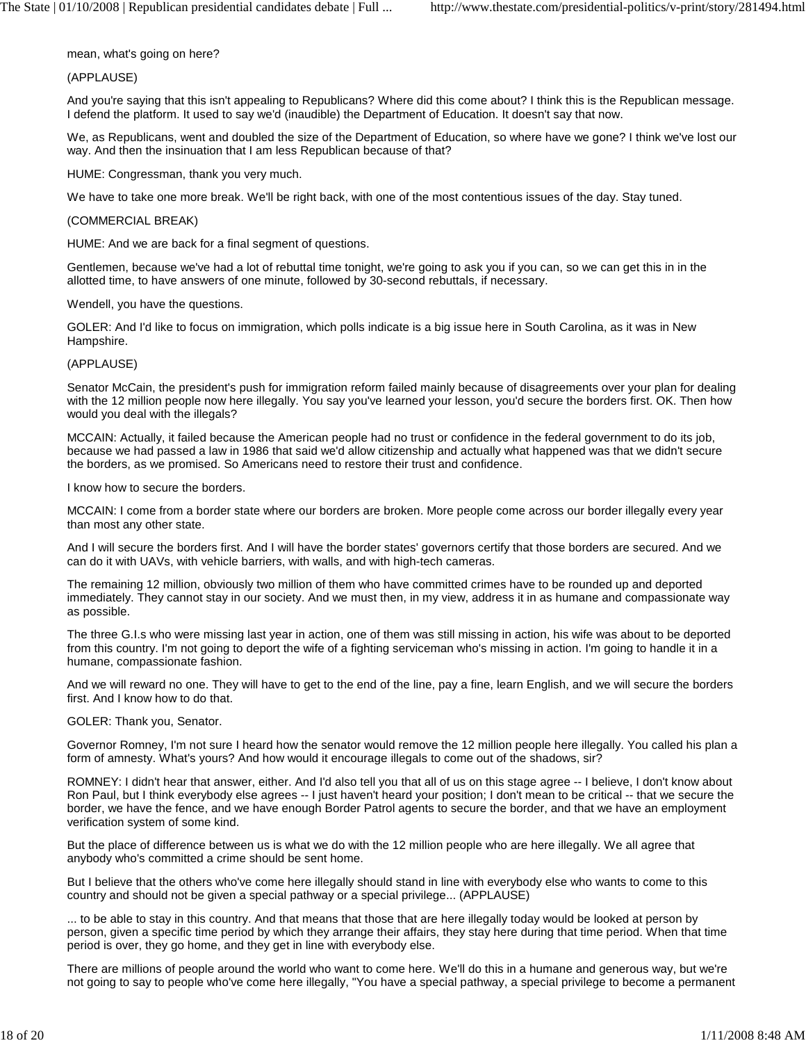mean, what's going on here?

(APPLAUSE)

And you're saying that this isn't appealing to Republicans? Where did this come about? I think this is the Republican message. I defend the platform. It used to say we'd (inaudible) the Department of Education. It doesn't say that now.

We, as Republicans, went and doubled the size of the Department of Education, so where have we gone? I think we've lost our way. And then the insinuation that I am less Republican because of that?

HUME: Congressman, thank you very much.

We have to take one more break. We'll be right back, with one of the most contentious issues of the day. Stay tuned.

## (COMMERCIAL BREAK)

HUME: And we are back for a final segment of questions.

Gentlemen, because we've had a lot of rebuttal time tonight, we're going to ask you if you can, so we can get this in in the allotted time, to have answers of one minute, followed by 30-second rebuttals, if necessary.

Wendell, you have the questions.

GOLER: And I'd like to focus on immigration, which polls indicate is a big issue here in South Carolina, as it was in New Hampshire.

## (APPLAUSE)

Senator McCain, the president's push for immigration reform failed mainly because of disagreements over your plan for dealing with the 12 million people now here illegally. You say you've learned your lesson, you'd secure the borders first. OK. Then how would you deal with the illegals?

MCCAIN: Actually, it failed because the American people had no trust or confidence in the federal government to do its job, because we had passed a law in 1986 that said we'd allow citizenship and actually what happened was that we didn't secure the borders, as we promised. So Americans need to restore their trust and confidence.

I know how to secure the borders.

MCCAIN: I come from a border state where our borders are broken. More people come across our border illegally every year than most any other state.

And I will secure the borders first. And I will have the border states' governors certify that those borders are secured. And we can do it with UAVs, with vehicle barriers, with walls, and with high-tech cameras.

The remaining 12 million, obviously two million of them who have committed crimes have to be rounded up and deported immediately. They cannot stay in our society. And we must then, in my view, address it in as humane and compassionate way as possible.

The three G.I.s who were missing last year in action, one of them was still missing in action, his wife was about to be deported from this country. I'm not going to deport the wife of a fighting serviceman who's missing in action. I'm going to handle it in a humane, compassionate fashion.

And we will reward no one. They will have to get to the end of the line, pay a fine, learn English, and we will secure the borders first. And I know how to do that.

GOLER: Thank you, Senator.

Governor Romney, I'm not sure I heard how the senator would remove the 12 million people here illegally. You called his plan a form of amnesty. What's yours? And how would it encourage illegals to come out of the shadows, sir?

ROMNEY: I didn't hear that answer, either. And I'd also tell you that all of us on this stage agree -- I believe, I don't know about Ron Paul, but I think everybody else agrees -- I just haven't heard your position; I don't mean to be critical -- that we secure the border, we have the fence, and we have enough Border Patrol agents to secure the border, and that we have an employment verification system of some kind.

But the place of difference between us is what we do with the 12 million people who are here illegally. We all agree that anybody who's committed a crime should be sent home.

But I believe that the others who've come here illegally should stand in line with everybody else who wants to come to this country and should not be given a special pathway or a special privilege... (APPLAUSE)

... to be able to stay in this country. And that means that those that are here illegally today would be looked at person by person, given a specific time period by which they arrange their affairs, they stay here during that time period. When that time period is over, they go home, and they get in line with everybody else.

There are millions of people around the world who want to come here. We'll do this in a humane and generous way, but we're not going to say to people who've come here illegally, "You have a special pathway, a special privilege to become a permanent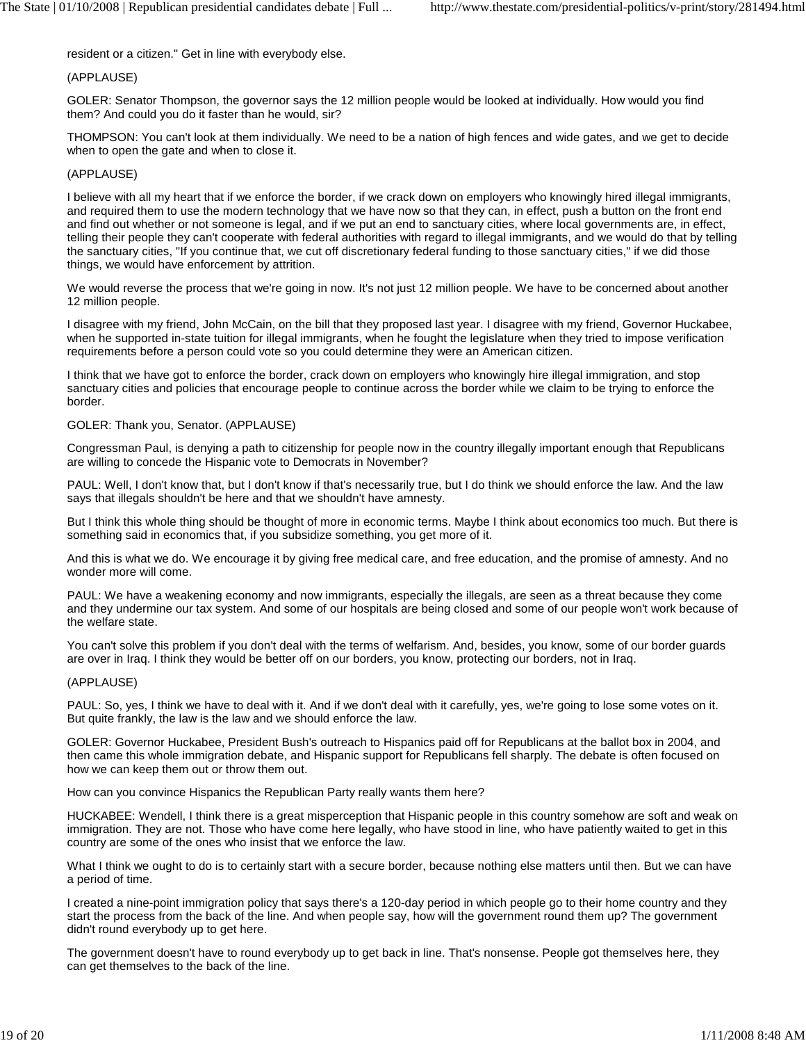resident or a citizen." Get in line with everybody else.

# (APPLAUSE)

GOLER: Senator Thompson, the governor says the 12 million people would be looked at individually. How would you find them? And could you do it faster than he would, sir?

THOMPSON: You can't look at them individually. We need to be a nation of high fences and wide gates, and we get to decide when to open the gate and when to close it.

# (APPLAUSE)

I believe with all my heart that if we enforce the border, if we crack down on employers who knowingly hired illegal immigrants, and required them to use the modern technology that we have now so that they can, in effect, push a button on the front end and find out whether or not someone is legal, and if we put an end to sanctuary cities, where local governments are, in effect, telling their people they can't cooperate with federal authorities with regard to illegal immigrants, and we would do that by telling the sanctuary cities, "If you continue that, we cut off discretionary federal funding to those sanctuary cities," if we did those things, we would have enforcement by attrition.

We would reverse the process that we're going in now. It's not just 12 million people. We have to be concerned about another 12 million people.

I disagree with my friend, John McCain, on the bill that they proposed last year. I disagree with my friend, Governor Huckabee, when he supported in-state tuition for illegal immigrants, when he fought the legislature when they tried to impose verification requirements before a person could vote so you could determine they were an American citizen.

I think that we have got to enforce the border, crack down on employers who knowingly hire illegal immigration, and stop sanctuary cities and policies that encourage people to continue across the border while we claim to be trying to enforce the border.

# GOLER: Thank you, Senator. (APPLAUSE)

Congressman Paul, is denying a path to citizenship for people now in the country illegally important enough that Republicans are willing to concede the Hispanic vote to Democrats in November?

PAUL: Well, I don't know that, but I don't know if that's necessarily true, but I do think we should enforce the law. And the law says that illegals shouldn't be here and that we shouldn't have amnesty.

But I think this whole thing should be thought of more in economic terms. Maybe I think about economics too much. But there is something said in economics that, if you subsidize something, you get more of it.

And this is what we do. We encourage it by giving free medical care, and free education, and the promise of amnesty. And no wonder more will come.

PAUL: We have a weakening economy and now immigrants, especially the illegals, are seen as a threat because they come and they undermine our tax system. And some of our hospitals are being closed and some of our people won't work because of the welfare state.

You can't solve this problem if you don't deal with the terms of welfarism. And, besides, you know, some of our border guards are over in Iraq. I think they would be better off on our borders, you know, protecting our borders, not in Iraq.

## (APPLAUSE)

PAUL: So, yes, I think we have to deal with it. And if we don't deal with it carefully, yes, we're going to lose some votes on it. But quite frankly, the law is the law and we should enforce the law.

GOLER: Governor Huckabee, President Bush's outreach to Hispanics paid off for Republicans at the ballot box in 2004, and then came this whole immigration debate, and Hispanic support for Republicans fell sharply. The debate is often focused on how we can keep them out or throw them out.

How can you convince Hispanics the Republican Party really wants them here?

HUCKABEE: Wendell, I think there is a great misperception that Hispanic people in this country somehow are soft and weak on immigration. They are not. Those who have come here legally, who have stood in line, who have patiently waited to get in this country are some of the ones who insist that we enforce the law.

What I think we ought to do is to certainly start with a secure border, because nothing else matters until then. But we can have a period of time.

I created a nine-point immigration policy that says there's a 120-day period in which people go to their home country and they start the process from the back of the line. And when people say, how will the government round them up? The government didn't round everybody up to get here.

The government doesn't have to round everybody up to get back in line. That's nonsense. People got themselves here, they can get themselves to the back of the line.